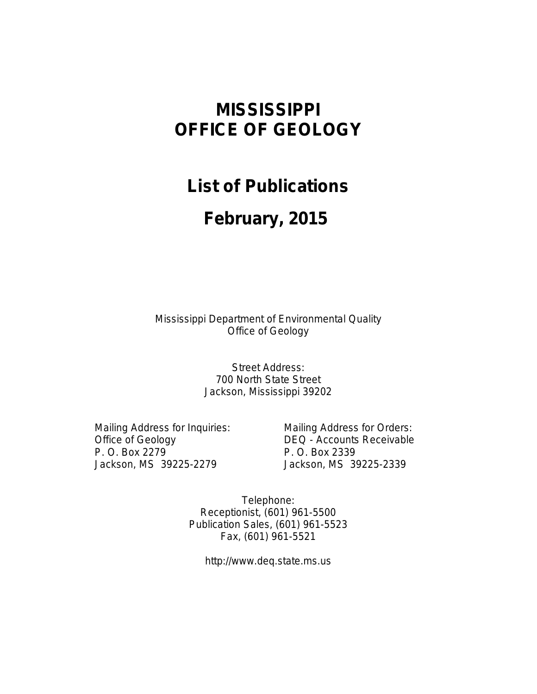# **MISSISSIPPI OFFICE OF GEOLOGY**

## **List of Publications**

# **February, 2015**

Mississippi Department of Environmental Quality Office of Geology

> Street Address: 700 North State Street Jackson, Mississippi 39202

Office of Geology DEQ - Accounts Receivable P. O. Box 2279 P. O. Box 2339 Jackson, MS 39225-2279 Jackson, MS 39225-2339

Mailing Address for Inquiries: Mailing Address for Orders:

Telephone: Receptionist, (601) 961-5500 Publication Sales, (601) 961-5523 Fax, (601) 961-5521

http://www.deq.state.ms.us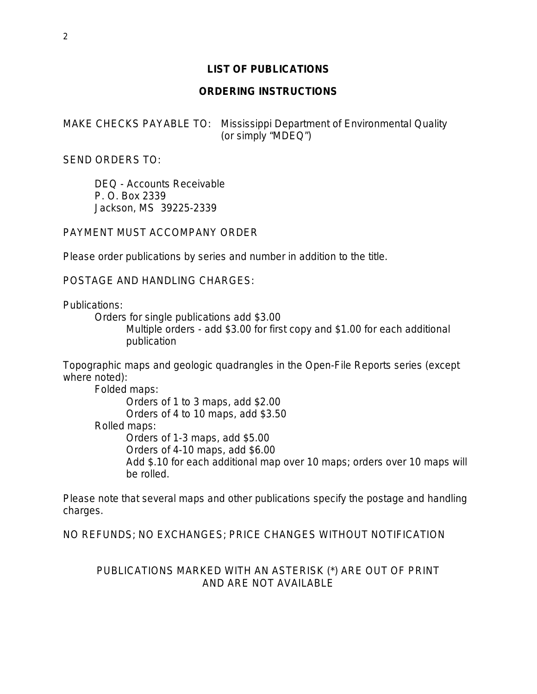## **LIST OF PUBLICATIONS**

## **ORDERING INSTRUCTIONS**

MAKE CHECKS PAYABLE TO: Mississippi Department of Environmental Quality (or simply "MDEQ")

SEND ORDERS TO:

DEQ - Accounts Receivable P. O. Box 2339 Jackson, MS 39225-2339

PAYMENT MUST ACCOMPANY ORDER

Please order publications by series and number in addition to the title.

POSTAGE AND HANDLING CHARGES:

Publications:

Orders for single publications add \$3.00 Multiple orders - add \$3.00 for first copy and \$1.00 for each additional publication

Topographic maps and geologic quadrangles in the Open-File Reports series (except where noted):

Folded maps: Orders of 1 to 3 maps, add \$2.00 Orders of 4 to 10 maps, add \$3.50 Rolled maps: Orders of 1-3 maps, add \$5.00 Orders of 4-10 maps, add \$6.00 Add \$.10 for each additional map over 10 maps; orders over 10 maps will be rolled.

Please note that several maps and other publications specify the postage and handling charges.

NO REFUNDS; NO EXCHANGES; PRICE CHANGES WITHOUT NOTIFICATION

## PUBLICATIONS MARKED WITH AN ASTERISK (\*) ARE OUT OF PRINT AND ARE NOT AVAILABLE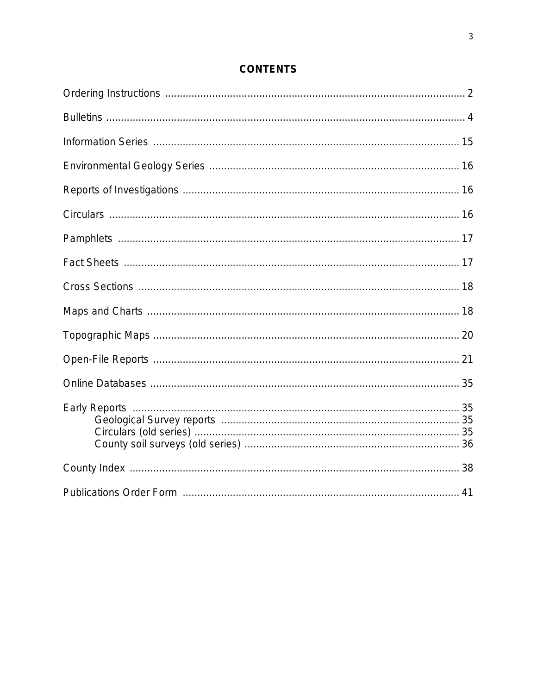## **CONTENTS**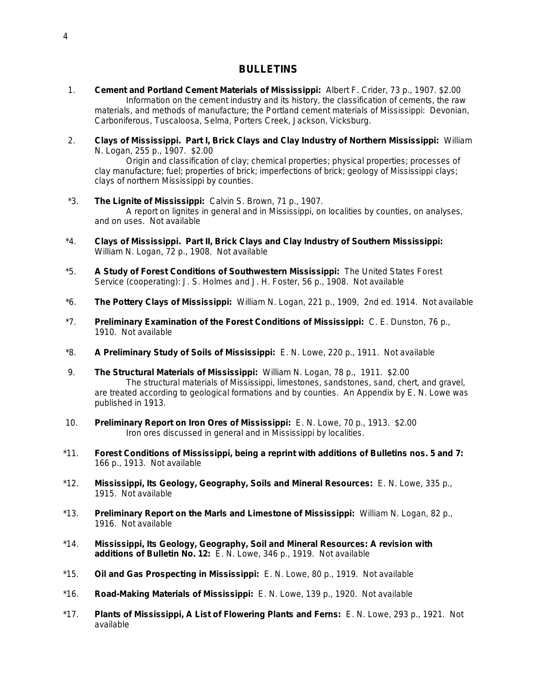### **BULLETINS**

- 1. **Cement and Portland Cement Materials of Mississippi:** Albert F. Crider, 73 p., 1907. \$2.00 Information on the cement industry and its history, the classification of cements, the raw materials, and methods of manufacture; the Portland cement materials of Mississippi: Devonian, Carboniferous, Tuscaloosa, Selma, Porters Creek, Jackson, Vicksburg.
- 2. **Clays of Mississippi. Part I, Brick Clays and Clay Industry of Northern Mississippi:** William N. Logan, 255 p., 1907. \$2.00

Origin and classification of clay; chemical properties; physical properties; processes of clay manufacture; fuel; properties of brick; imperfections of brick; geology of Mississippi clays; clays of northern Mississippi by counties.

- \*3. **The Lignite of Mississippi:** Calvin S. Brown, 71 p., 1907. A report on lignites in general and in Mississippi, on localities by counties, on analyses, and on uses. Not available
- \*4. **Clays of Mississippi. Part II, Brick Clays and Clay Industry of Southern Mississippi:** William N. Logan, 72 p., 1908. Not available
- \*5. **A Study of Forest Conditions of Southwestern Mississippi:** The United States Forest Service (cooperating): J. S. Holmes and J. H. Foster, 56 p., 1908. Not available
- \*6. **The Pottery Clays of Mississippi:** William N. Logan, 221 p., 1909, 2nd ed. 1914. Not available
- \*7. **Preliminary Examination of the Forest Conditions of Mississippi:** C. E. Dunston, 76 p., 1910. Not available
- \*8. **A Preliminary Study of Soils of Mississippi:** E. N. Lowe, 220 p., 1911. Not available
- 9. **The Structural Materials of Mississippi:** William N. Logan, 78 p., 1911. \$2.00 The structural materials of Mississippi, limestones, sandstones, sand, chert, and gravel, are treated according to geological formations and by counties. An Appendix by E. N. Lowe was published in 1913.
- 10. **Preliminary Report on Iron Ores of Mississippi:** E. N. Lowe, 70 p., 1913. \$2.00 Iron ores discussed in general and in Mississippi by localities.
- \*11. **Forest Conditions of Mississippi, being a reprint with additions of Bulletins nos. 5 and 7:** 166 p., 1913. Not available
- \*12. **Mississippi, Its Geology, Geography, Soils and Mineral Resources:** E. N. Lowe, 335 p., 1915. Not available
- \*13. **Preliminary Report on the Marls and Limestone of Mississippi:** William N. Logan, 82 p., 1916. Not available
- \*14. **Mississippi, Its Geology, Geography, Soil and Mineral Resources: A revision with additions of Bulletin No. 12:** E. N. Lowe, 346 p., 1919. Not available
- \*15. **Oil and Gas Prospecting in Mississippi:** E. N. Lowe, 80 p., 1919. Not available
- \*16. **Road-Making Materials of Mississippi:** E. N. Lowe, 139 p., 1920. Not available
- \*17. **Plants of Mississippi, A List of Flowering Plants and Ferns:** E. N. Lowe, 293 p., 1921. Not available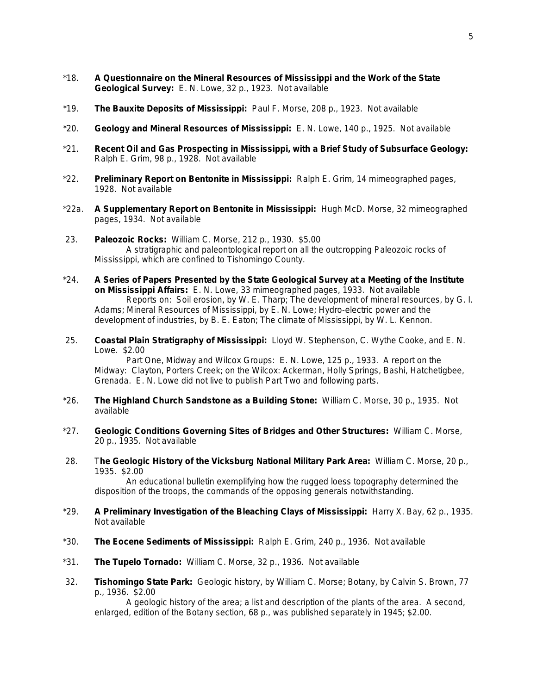- \*18. **A Questionnaire on the Mineral Resources of Mississippi and the Work of the State Geological Survey:** E. N. Lowe, 32 p., 1923. Not available
- \*19. **The Bauxite Deposits of Mississippi:** Paul F. Morse, 208 p., 1923. Not available
- \*20. **Geology and Mineral Resources of Mississippi:** E. N. Lowe, 140 p., 1925. Not available
- \*21. **Recent Oil and Gas Prospecting in Mississippi, with a Brief Study of Subsurface Geology:** Ralph E. Grim, 98 p., 1928. Not available
- \*22. **Preliminary Report on Bentonite in Mississippi:** Ralph E. Grim, 14 mimeographed pages, 1928. Not available
- \*22a. **A Supplementary Report on Bentonite in Mississippi:** Hugh McD. Morse, 32 mimeographed pages, 1934. Not available
- 23. **Paleozoic Rocks:** William C. Morse, 212 p., 1930. \$5.00 A stratigraphic and paleontological report on all the outcropping Paleozoic rocks of Mississippi, which are confined to Tishomingo County.
- \*24. **A Series of Papers Presented by the State Geological Survey at a Meeting of the Institute on Mississippi Affairs:** E. N. Lowe, 33 mimeographed pages, 1933. Not available Reports on: Soil erosion, by W. E. Tharp; The development of mineral resources, by G. I. Adams; Mineral Resources of Mississippi, by E. N. Lowe; Hydro-electric power and the development of industries, by B. E. Eaton; The climate of Mississippi, by W. L. Kennon.
- 25. **Coastal Plain Stratigraphy of Mississippi:** Lloyd W. Stephenson, C. Wythe Cooke, and E. N. Lowe. \$2.00

Part One, Midway and Wilcox Groups: E. N. Lowe, 125 p., 1933. A report on the Midway: Clayton, Porters Creek; on the Wilcox: Ackerman, Holly Springs, Bashi, Hatchetigbee, Grenada. E. N. Lowe did not live to publish Part Two and following parts.

- \*26. **The Highland Church Sandstone as a Building Stone:** William C. Morse, 30 p., 1935. Not available
- \*27. **Geologic Conditions Governing Sites of Bridges and Other Structures:** William C. Morse, 20 p., 1935. Not available
- 28. T**he Geologic History of the Vicksburg National Military Park Area:** William C. Morse, 20 p., 1935. \$2.00

An educational bulletin exemplifying how the rugged loess topography determined the disposition of the troops, the commands of the opposing generals notwithstanding.

- \*29. **A Preliminary Investigation of the Bleaching Clays of Mississippi:** Harry X. Bay, 62 p., 1935. Not available
- \*30. **The Eocene Sediments of Mississippi:** Ralph E. Grim, 240 p., 1936. Not available
- \*31. **The Tupelo Tornado:** William C. Morse, 32 p., 1936. Not available
- 32. **Tishomingo State Park:** Geologic history, by William C. Morse; Botany, by Calvin S. Brown, 77 p., 1936. \$2.00

A geologic history of the area; a list and description of the plants of the area. A second, enlarged, edition of the Botany section, 68 p., was published separately in 1945; \$2.00.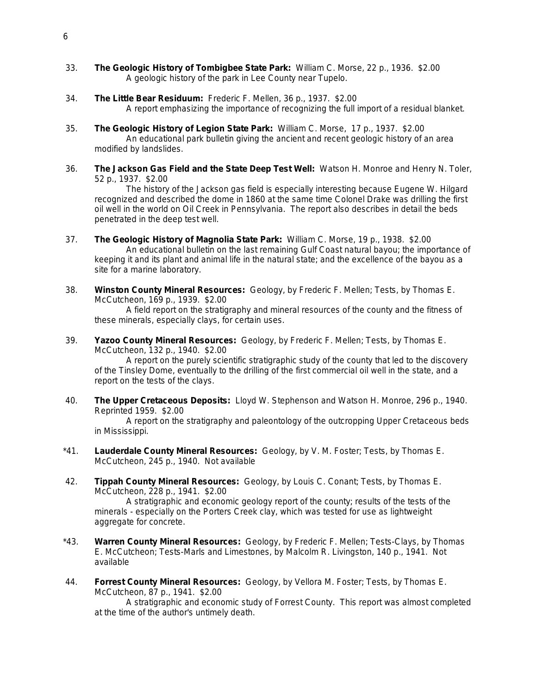- 33. **The Geologic History of Tombigbee State Park:** William C. Morse, 22 p., 1936. \$2.00 A geologic history of the park in Lee County near Tupelo.
- 34. **The Little Bear Residuum:** Frederic F. Mellen, 36 p., 1937. \$2.00 A report emphasizing the importance of recognizing the full import of a residual blanket.
- 35. **The Geologic History of Legion State Park:** William C. Morse, 17 p., 1937. \$2.00 An educational park bulletin giving the ancient and recent geologic history of an area modified by landslides.
- 36. **The Jackson Gas Field and the State Deep Test Well:** Watson H. Monroe and Henry N. Toler, 52 p., 1937. \$2.00

The history of the Jackson gas field is especially interesting because Eugene W. Hilgard recognized and described the dome in 1860 at the same time Colonel Drake was drilling the first oil well in the world on Oil Creek in Pennsylvania. The report also describes in detail the beds penetrated in the deep test well.

- 37. **The Geologic History of Magnolia State Park:** William C. Morse, 19 p., 1938. \$2.00 An educational bulletin on the last remaining Gulf Coast natural bayou; the importance of keeping it and its plant and animal life in the natural state; and the excellence of the bayou as a site for a marine laboratory.
- 38. **Winston County Mineral Resources:** Geology, by Frederic F. Mellen; Tests, by Thomas E. McCutcheon, 169 p., 1939. \$2.00

A field report on the stratigraphy and mineral resources of the county and the fitness of these minerals, especially clays, for certain uses.

39. **Yazoo County Mineral Resources:** Geology, by Frederic F. Mellen; Tests, by Thomas E. McCutcheon, 132 p., 1940. \$2.00

A report on the purely scientific stratigraphic study of the county that led to the discovery of the Tinsley Dome, eventually to the drilling of the first commercial oil well in the state, and a report on the tests of the clays.

40. **The Upper Cretaceous Deposits:** Lloyd W. Stephenson and Watson H. Monroe, 296 p., 1940. Reprinted 1959. \$2.00

A report on the stratigraphy and paleontology of the outcropping Upper Cretaceous beds in Mississippi.

- \*41. **Lauderdale County Mineral Resources:** Geology, by V. M. Foster; Tests, by Thomas E. McCutcheon, 245 p., 1940. Not available
- 42. **Tippah County Mineral Resources:** Geology, by Louis C. Conant; Tests, by Thomas E. McCutcheon, 228 p., 1941. \$2.00

A stratigraphic and economic geology report of the county; results of the tests of the minerals - especially on the Porters Creek clay, which was tested for use as lightweight aggregate for concrete.

- \*43. **Warren County Mineral Resources:** Geology, by Frederic F. Mellen; Tests-Clays, by Thomas E. McCutcheon; Tests-Marls and Limestones, by Malcolm R. Livingston, 140 p., 1941. Not available
- 44. **Forrest County Mineral Resources:** Geology, by Vellora M. Foster; Tests, by Thomas E. McCutcheon, 87 p., 1941. \$2.00

A stratigraphic and economic study of Forrest County. This report was almost completed at the time of the author's untimely death.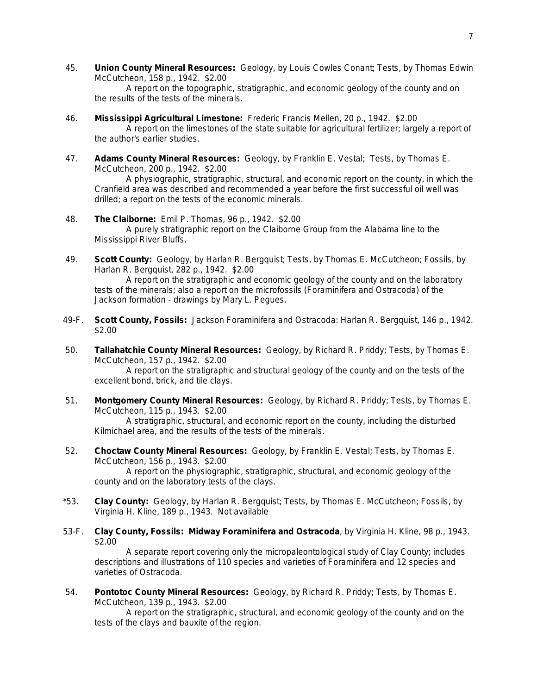45. **Union County Mineral Resources:** Geology, by Louis Cowles Conant; Tests, by Thomas Edwin McCutcheon, 158 p., 1942. \$2.00

A report on the topographic, stratigraphic, and economic geology of the county and on the results of the tests of the minerals.

- 46. **Mississippi Agricultural Limestone:** Frederic Francis Mellen, 20 p., 1942. \$2.00 A report on the limestones of the state suitable for agricultural fertilizer; largely a report of the author's earlier studies.
- 47. **Adams County Mineral Resources:** Geology, by Franklin E. Vestal; Tests, by Thomas E. McCutcheon, 200 p., 1942. \$2.00

A physiographic, stratigraphic, structural, and economic report on the county, in which the Cranfield area was described and recommended a year before the first successful oil well was drilled; a report on the tests of the economic minerals.

- 48. **The Claiborne:** Emil P. Thomas, 96 p., 1942. \$2.00 A purely stratigraphic report on the Claiborne Group from the Alabama line to the Mississippi River Bluffs.
- 49. **Scott County:** Geology, by Harlan R. Bergquist; Tests, by Thomas E. McCutcheon; Fossils, by Harlan R. Bergquist, 282 p., 1942. \$2.00

A report on the stratigraphic and economic geology of the county and on the laboratory tests of the minerals; also a report on the microfossils (Foraminifera and Ostracoda) of the Jackson formation - drawings by Mary L. Pegues.

- 49-F. **Scott County, Fossils:** Jackson Foraminifera and Ostracoda: Harlan R. Bergquist, 146 p., 1942. \$2.00
- 50. **Tallahatchie County Mineral Resources:** Geology, by Richard R. Priddy; Tests, by Thomas E. McCutcheon, 157 p., 1942. \$2.00

A report on the stratigraphic and structural geology of the county and on the tests of the excellent bond, brick, and tile clays.

51. **Montgomery County Mineral Resources:** Geology, by Richard R. Priddy; Tests, by Thomas E. McCutcheon, 115 p., 1943. \$2.00 A stratigraphic, structural, and economic report on the county, including the disturbed

Kilmichael area, and the results of the tests of the minerals.

52. **Choctaw County Mineral Resources:** Geology, by Franklin E. Vestal; Tests, by Thomas E. McCutcheon, 156 p., 1943. \$2.00

A report on the physiographic, stratigraphic, structural, and economic geology of the county and on the laboratory tests of the clays.

- \*53. **Clay County:** Geology, by Harlan R. Bergquist; Tests, by Thomas E. McCutcheon; Fossils, by Virginia H. Kline, 189 p., 1943. Not available
- 53-F. **Clay County, Fossils: Midway Foraminifera and Ostracoda**, by Virginia H. Kline, 98 p., 1943. \$2.00

A separate report covering only the micropaleontological study of Clay County; includes descriptions and illustrations of 110 species and varieties of Foraminifera and 12 species and varieties of Ostracoda.

54. **Pontotoc County Mineral Resources:** Geology, by Richard R. Priddy; Tests, by Thomas E. McCutcheon, 139 p., 1943. \$2.00

A report on the stratigraphic, structural, and economic geology of the county and on the tests of the clays and bauxite of the region.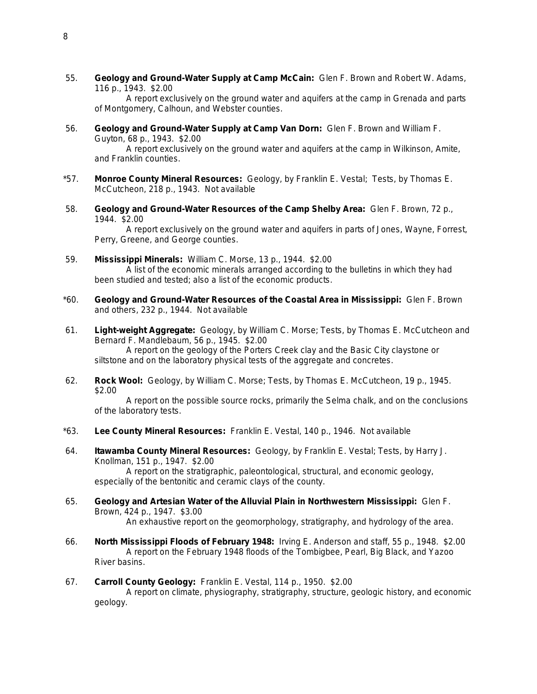55. **Geology and Ground-Water Supply at Camp McCain:** Glen F. Brown and Robert W. Adams, 116 p., 1943. \$2.00

A report exclusively on the ground water and aquifers at the camp in Grenada and parts of Montgomery, Calhoun, and Webster counties.

- 56. **Geology and Ground-Water Supply at Camp Van Dorn:** Glen F. Brown and William F. Guyton, 68 p., 1943. \$2.00 A report exclusively on the ground water and aquifers at the camp in Wilkinson, Amite,
- \*57. **Monroe County Mineral Resources:** Geology, by Franklin E. Vestal; Tests, by Thomas E. McCutcheon, 218 p., 1943. Not available
- 58. **Geology and Ground-Water Resources of the Camp Shelby Area:** Glen F. Brown, 72 p., 1944. \$2.00

A report exclusively on the ground water and aquifers in parts of Jones, Wayne, Forrest, Perry, Greene, and George counties.

- 59. **Mississippi Minerals:** William C. Morse, 13 p., 1944. \$2.00 A list of the economic minerals arranged according to the bulletins in which they had been studied and tested; also a list of the economic products.
- \*60. **Geology and Ground-Water Resources of the Coastal Area in Mississippi:** Glen F. Brown and others, 232 p., 1944. Not available
- 61. **Light-weight Aggregate:** Geology, by William C. Morse; Tests, by Thomas E. McCutcheon and Bernard F. Mandlebaum, 56 p., 1945. \$2.00

A report on the geology of the Porters Creek clay and the Basic City claystone or siltstone and on the laboratory physical tests of the aggregate and concretes.

62. **Rock Wool:** Geology, by William C. Morse; Tests, by Thomas E. McCutcheon, 19 p., 1945. \$2.00

A report on the possible source rocks, primarily the Selma chalk, and on the conclusions of the laboratory tests.

- \*63. **Lee County Mineral Resources:** Franklin E. Vestal, 140 p., 1946. Not available
- 64. **Itawamba County Mineral Resources:** Geology, by Franklin E. Vestal; Tests, by Harry J. Knollman, 151 p., 1947. \$2.00

A report on the stratigraphic, paleontological, structural, and economic geology, especially of the bentonitic and ceramic clays of the county.

65. **Geology and Artesian Water of the Alluvial Plain in Northwestern Mississippi:** Glen F. Brown, 424 p., 1947. \$3.00

An exhaustive report on the geomorphology, stratigraphy, and hydrology of the area.

66. **North Mississippi Floods of February 1948:** Irving E. Anderson and staff, 55 p., 1948. \$2.00 A report on the February 1948 floods of the Tombigbee, Pearl, Big Black, and Yazoo River basins.

#### 67. **Carroll County Geology:** Franklin E. Vestal, 114 p., 1950. \$2.00

A report on climate, physiography, stratigraphy, structure, geologic history, and economic geology.

and Franklin counties.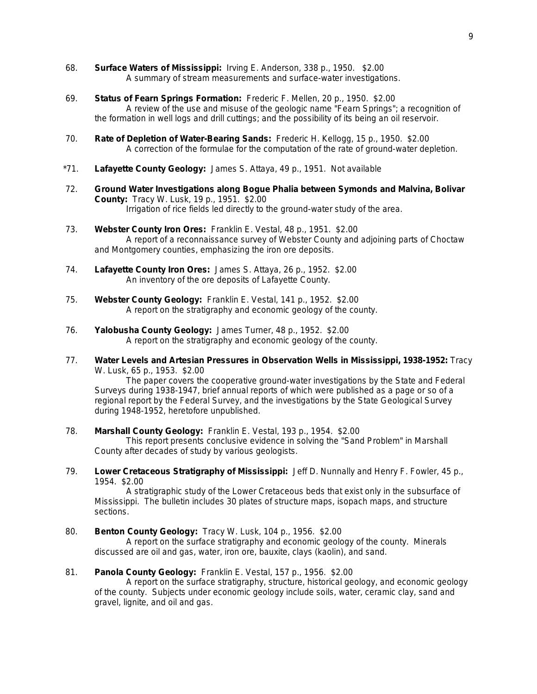- 68. **Surface Waters of Mississippi:** Irving E. Anderson, 338 p., 1950. \$2.00 A summary of stream measurements and surface-water investigations.
- 69. **Status of Fearn Springs Formation:** Frederic F. Mellen, 20 p., 1950. \$2.00 A review of the use and misuse of the geologic name "Fearn Springs"; a recognition of the formation in well logs and drill cuttings; and the possibility of its being an oil reservoir.
- 70. **Rate of Depletion of Water-Bearing Sands:** Frederic H. Kellogg, 15 p., 1950. \$2.00 A correction of the formulae for the computation of the rate of ground-water depletion.
- \*71. **Lafayette County Geology:** James S. Attaya, 49 p., 1951. Not available
- 72. **Ground Water Investigations along Bogue Phalia between Symonds and Malvina, Bolivar County:** Tracy W. Lusk, 19 p., 1951. \$2.00 Irrigation of rice fields led directly to the ground-water study of the area.
- 73. **Webster County Iron Ores:** Franklin E. Vestal, 48 p., 1951. \$2.00 A report of a reconnaissance survey of Webster County and adjoining parts of Choctaw and Montgomery counties, emphasizing the iron ore deposits.
- 74. **Lafayette County Iron Ores:** James S. Attaya, 26 p., 1952. \$2.00 An inventory of the ore deposits of Lafayette County.
- 75. **Webster County Geology:** Franklin E. Vestal, 141 p., 1952. \$2.00 A report on the stratigraphy and economic geology of the county.
- 76. **Yalobusha County Geology:** James Turner, 48 p., 1952. \$2.00 A report on the stratigraphy and economic geology of the county.
- 77. **Water Levels and Artesian Pressures in Observation Wells in Mississippi, 1938-1952:** Tracy W. Lusk, 65 p., 1953. \$2.00

The paper covers the cooperative ground-water investigations by the State and Federal Surveys during 1938-1947, brief annual reports of which were published as a page or so of a regional report by the Federal Survey, and the investigations by the State Geological Survey during 1948-1952, heretofore unpublished.

78. **Marshall County Geology:** Franklin E. Vestal, 193 p., 1954. \$2.00

This report presents conclusive evidence in solving the "Sand Problem" in Marshall County after decades of study by various geologists.

79. **Lower Cretaceous Stratigraphy of Mississippi:** Jeff D. Nunnally and Henry F. Fowler, 45 p., 1954. \$2.00

A stratigraphic study of the Lower Cretaceous beds that exist only in the subsurface of Mississippi. The bulletin includes 30 plates of structure maps, isopach maps, and structure sections.

80. **Benton County Geology:** Tracy W. Lusk, 104 p., 1956. \$2.00

A report on the surface stratigraphy and economic geology of the county. Minerals discussed are oil and gas, water, iron ore, bauxite, clays (kaolin), and sand.

81. **Panola County Geology:** Franklin E. Vestal, 157 p., 1956. \$2.00

A report on the surface stratigraphy, structure, historical geology, and economic geology of the county. Subjects under economic geology include soils, water, ceramic clay, sand and gravel, lignite, and oil and gas.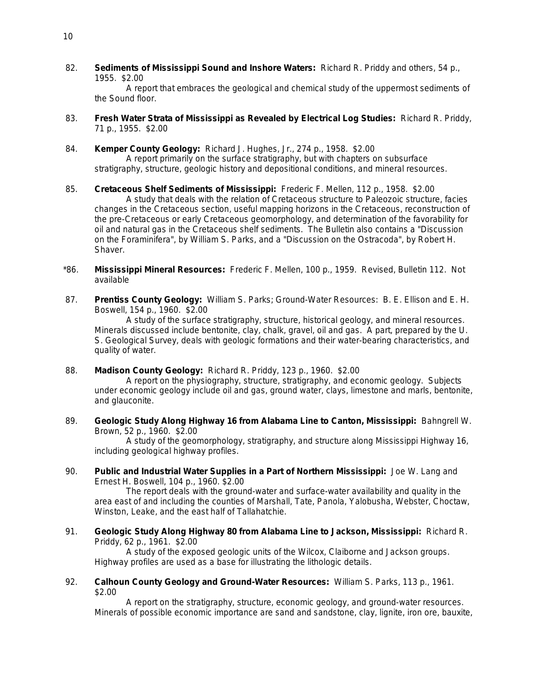82. **Sediments of Mississippi Sound and Inshore Waters:** Richard R. Priddy and others, 54 p., 1955. \$2.00

A report that embraces the geological and chemical study of the uppermost sediments of the Sound floor.

- 83. **Fresh Water Strata of Mississippi as Revealed by Electrical Log Studies:** Richard R. Priddy, 71 p., 1955. \$2.00
- 84. **Kemper County Geology:** Richard J. Hughes, Jr., 274 p., 1958. \$2.00 A report primarily on the surface stratigraphy, but with chapters on subsurface stratigraphy, structure, geologic history and depositional conditions, and mineral resources.
- 85. **Cretaceous Shelf Sediments of Mississippi:** Frederic F. Mellen, 112 p., 1958. \$2.00 A study that deals with the relation of Cretaceous structure to Paleozoic structure, facies changes in the Cretaceous section, useful mapping horizons in the Cretaceous, reconstruction of the pre-Cretaceous or early Cretaceous geomorphology, and determination of the favorability for oil and natural gas in the Cretaceous shelf sediments. The Bulletin also contains a "Discussion on the Foraminifera", by William S. Parks, and a "Discussion on the Ostracoda", by Robert H. Shaver.
- \*86. **Mississippi Mineral Resources:** Frederic F. Mellen, 100 p., 1959. Revised, Bulletin 112. Not available
- 87. **Prentiss County Geology:** William S. Parks; Ground-Water Resources: B. E. Ellison and E. H. Boswell, 154 p., 1960. \$2.00

A study of the surface stratigraphy, structure, historical geology, and mineral resources. Minerals discussed include bentonite, clay, chalk, gravel, oil and gas. A part, prepared by the U. S. Geological Survey, deals with geologic formations and their water-bearing characteristics, and quality of water.

88. **Madison County Geology:** Richard R. Priddy, 123 p., 1960. \$2.00

A report on the physiography, structure, stratigraphy, and economic geology. Subjects under economic geology include oil and gas, ground water, clays, limestone and marls, bentonite, and glauconite.

89. **Geologic Study Along Highway 16 from Alabama Line to Canton, Mississippi:** Bahngrell W. Brown, 52 p., 1960. \$2.00

A study of the geomorphology, stratigraphy, and structure along Mississippi Highway 16, including geological highway profiles.

90. **Public and Industrial Water Supplies in a Part of Northern Mississippi:** Joe W. Lang and Ernest H. Boswell, 104 p., 1960. \$2.00

The report deals with the ground-water and surface-water availability and quality in the area east of and including the counties of Marshall, Tate, Panola, Yalobusha, Webster, Choctaw, Winston, Leake, and the east half of Tallahatchie.

91. **Geologic Study Along Highway 80 from Alabama Line to Jackson, Mississippi:** Richard R. Priddy, 62 p., 1961. \$2.00

A study of the exposed geologic units of the Wilcox, Claiborne and Jackson groups. Highway profiles are used as a base for illustrating the lithologic details.

92. **Calhoun County Geology and Ground-Water Resources:** William S. Parks, 113 p., 1961. \$2.00

A report on the stratigraphy, structure, economic geology, and ground-water resources. Minerals of possible economic importance are sand and sandstone, clay, lignite, iron ore, bauxite,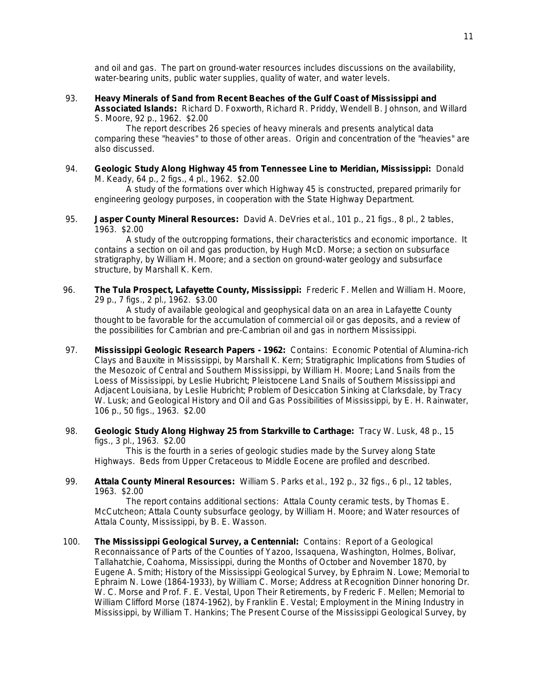and oil and gas. The part on ground-water resources includes discussions on the availability, water-bearing units, public water supplies, quality of water, and water levels.

93. **Heavy Minerals of Sand from Recent Beaches of the Gulf Coast of Mississippi and** 

**Associated Islands:** Richard D. Foxworth, Richard R. Priddy, Wendell B. Johnson, and Willard S. Moore, 92 p., 1962. \$2.00

The report describes 26 species of heavy minerals and presents analytical data comparing these "heavies" to those of other areas. Origin and concentration of the "heavies" are also discussed.

94. **Geologic Study Along Highway 45 from Tennessee Line to Meridian, Mississippi:** Donald M. Keady, 64 p., 2 figs., 4 pl., 1962. \$2.00

A study of the formations over which Highway 45 is constructed, prepared primarily for engineering geology purposes, in cooperation with the State Highway Department.

95. **Jasper County Mineral Resources:** David A. DeVries et al., 101 p., 21 figs., 8 pl., 2 tables, 1963. \$2.00

A study of the outcropping formations, their characteristics and economic importance. It contains a section on oil and gas production, by Hugh McD. Morse; a section on subsurface stratigraphy, by William H. Moore; and a section on ground-water geology and subsurface structure, by Marshall K. Kern.

96. **The Tula Prospect, Lafayette County, Mississippi:** Frederic F. Mellen and William H. Moore, 29 p., 7 figs., 2 pl., 1962. \$3.00

A study of available geological and geophysical data on an area in Lafayette County thought to be favorable for the accumulation of commercial oil or gas deposits, and a review of the possibilities for Cambrian and pre-Cambrian oil and gas in northern Mississippi.

- 97. **Mississippi Geologic Research Papers - 1962:** Contains: Economic Potential of Alumina-rich Clays and Bauxite in Mississippi, by Marshall K. Kern; Stratigraphic Implications from Studies of the Mesozoic of Central and Southern Mississippi, by William H. Moore; Land Snails from the Loess of Mississippi, by Leslie Hubricht; Pleistocene Land Snails of Southern Mississippi and Adjacent Louisiana, by Leslie Hubricht; Problem of Desiccation Sinking at Clarksdale, by Tracy W. Lusk; and Geological History and Oil and Gas Possibilities of Mississippi, by E. H. Rainwater, 106 p., 50 figs., 1963. \$2.00
- 98. **Geologic Study Along Highway 25 from Starkville to Carthage:** Tracy W. Lusk, 48 p., 15 figs., 3 pl., 1963. \$2.00

This is the fourth in a series of geologic studies made by the Survey along State Highways. Beds from Upper Cretaceous to Middle Eocene are profiled and described.

99. **Attala County Mineral Resources:** William S. Parks et al., 192 p., 32 figs., 6 pl., 12 tables, 1963. \$2.00

The report contains additional sections: Attala County ceramic tests, by Thomas E. McCutcheon; Attala County subsurface geology, by William H. Moore; and Water resources of Attala County, Mississippi, by B. E. Wasson.

100. **The Mississippi Geological Survey, a Centennial:** Contains: Report of a Geological Reconnaissance of Parts of the Counties of Yazoo, Issaquena, Washington, Holmes, Bolivar, Tallahatchie, Coahoma, Mississippi, during the Months of October and November 1870, by Eugene A. Smith; History of the Mississippi Geological Survey, by Ephraim N. Lowe; Memorial to Ephraim N. Lowe (1864-1933), by William C. Morse; Address at Recognition Dinner honoring Dr. W. C. Morse and Prof. F. E. Vestal, Upon Their Retirements, by Frederic F. Mellen; Memorial to William Clifford Morse (1874-1962), by Franklin E. Vestal; Employment in the Mining Industry in Mississippi, by William T. Hankins; The Present Course of the Mississippi Geological Survey, by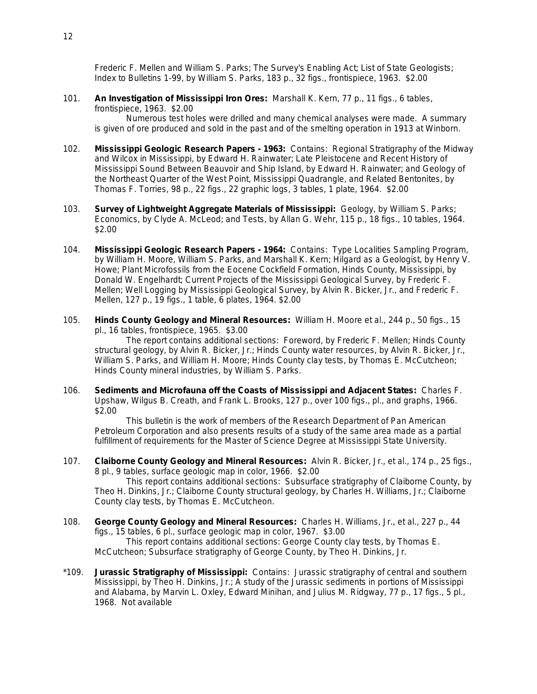Frederic F. Mellen and William S. Parks; The Survey's Enabling Act; List of State Geologists; Index to Bulletins 1-99, by William S. Parks, 183 p., 32 figs., frontispiece, 1963. \$2.00

101. **An Investigation of Mississippi Iron Ores:** Marshall K. Kern, 77 p., 11 figs., 6 tables, frontispiece, 1963. \$2.00

Numerous test holes were drilled and many chemical analyses were made. A summary is given of ore produced and sold in the past and of the smelting operation in 1913 at Winborn.

- 102. **Mississippi Geologic Research Papers - 1963:** Contains: Regional Stratigraphy of the Midway and Wilcox in Mississippi, by Edward H. Rainwater; Late Pleistocene and Recent History of Mississippi Sound Between Beauvoir and Ship Island, by Edward H. Rainwater; and Geology of the Northeast Quarter of the West Point, Mississippi Quadrangle, and Related Bentonites, by Thomas F. Torries, 98 p., 22 figs., 22 graphic logs, 3 tables, 1 plate, 1964. \$2.00
- 103. **Survey of Lightweight Aggregate Materials of Mississippi:** Geology, by William S. Parks; Economics, by Clyde A. McLeod; and Tests, by Allan G. Wehr, 115 p., 18 figs., 10 tables, 1964. \$2.00
- 104. **Mississippi Geologic Research Papers - 1964:** Contains: Type Localities Sampling Program, by William H. Moore, William S. Parks, and Marshall K. Kern; Hilgard as a Geologist, by Henry V. Howe; Plant Microfossils from the Eocene Cockfield Formation, Hinds County, Mississippi, by Donald W. Engelhardt; Current Projects of the Mississippi Geological Survey, by Frederic F. Mellen; Well Logging by Mississippi Geological Survey, by Alvin R. Bicker, Jr., and Frederic F. Mellen, 127 p., 19 figs., 1 table, 6 plates, 1964. \$2.00
- 105. **Hinds County Geology and Mineral Resources:** William H. Moore et al., 244 p., 50 figs., 15 pl., 16 tables, frontispiece, 1965. \$3.00

The report contains additional sections: Foreword, by Frederic F. Mellen; Hinds County structural geology, by Alvin R. Bicker, Jr.; Hinds County water resources, by Alvin R. Bicker, Jr., William S. Parks, and William H. Moore; Hinds County clay tests, by Thomas E. McCutcheon; Hinds County mineral industries, by William S. Parks.

106. **Sediments and Microfauna off the Coasts of Mississippi and Adjacent States:** Charles F. Upshaw, Wilgus B. Creath, and Frank L. Brooks, 127 p., over 100 figs., pl., and graphs, 1966. \$2.00

This bulletin is the work of members of the Research Department of Pan American Petroleum Corporation and also presents results of a study of the same area made as a partial fulfillment of requirements for the Master of Science Degree at Mississippi State University.

107. **Claiborne County Geology and Mineral Resources:** Alvin R. Bicker, Jr., et al., 174 p., 25 figs., 8 pl., 9 tables, surface geologic map in color, 1966. \$2.00

This report contains additional sections: Subsurface stratigraphy of Claiborne County, by Theo H. Dinkins, Jr.; Claiborne County structural geology, by Charles H. Williams, Jr.; Claiborne County clay tests, by Thomas E. McCutcheon.

- 108. **George County Geology and Mineral Resources:** Charles H. Williams, Jr., et al., 227 p., 44 figs., 15 tables, 6 pl., surface geologic map in color, 1967. \$3.00 This report contains additional sections: George County clay tests, by Thomas E. McCutcheon; Subsurface stratigraphy of George County, by Theo H. Dinkins, Jr.
- \*109. **Jurassic Stratigraphy of Mississippi:** Contains: Jurassic stratigraphy of central and southern Mississippi, by Theo H. Dinkins, Jr.; A study of the Jurassic sediments in portions of Mississippi and Alabama, by Marvin L. Oxley, Edward Minihan, and Julius M. Ridgway, 77 p., 17 figs., 5 pl., 1968. Not available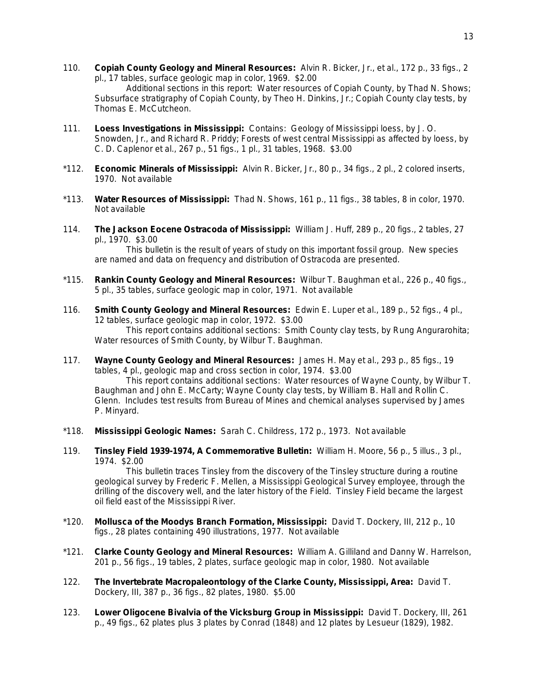110. **Copiah County Geology and Mineral Resources:** Alvin R. Bicker, Jr., et al., 172 p., 33 figs., 2 pl., 17 tables, surface geologic map in color, 1969. \$2.00

Additional sections in this report: Water resources of Copiah County, by Thad N. Shows; Subsurface stratigraphy of Copiah County, by Theo H. Dinkins, Jr.; Copiah County clay tests, by Thomas E. McCutcheon.

- 111. **Loess Investigations in Mississippi:** Contains: Geology of Mississippi loess, by J. O. Snowden, Jr., and Richard R. Priddy; Forests of west central Mississippi as affected by loess, by C. D. Caplenor et al., 267 p., 51 figs., 1 pl., 31 tables, 1968. \$3.00
- \*112. **Economic Minerals of Mississippi:** Alvin R. Bicker, Jr., 80 p., 34 figs., 2 pl., 2 colored inserts, 1970. Not available
- \*113. **Water Resources of Mississippi:** Thad N. Shows, 161 p., 11 figs., 38 tables, 8 in color, 1970. Not available
- 114. **The Jackson Eocene Ostracoda of Mississippi:** William J. Huff, 289 p., 20 figs., 2 tables, 27 pl., 1970. \$3.00

This bulletin is the result of years of study on this important fossil group. New species are named and data on frequency and distribution of Ostracoda are presented.

- \*115. **Rankin County Geology and Mineral Resources:** Wilbur T. Baughman et al., 226 p., 40 figs., 5 pl., 35 tables, surface geologic map in color, 1971. Not available
- 116. **Smith County Geology and Mineral Resources:** Edwin E. Luper et al., 189 p., 52 figs., 4 pl., 12 tables, surface geologic map in color, 1972. \$3.00 This report contains additional sections: Smith County clay tests, by Rung Angurarohita; Water resources of Smith County, by Wilbur T. Baughman.
- 117. **Wayne County Geology and Mineral Resources:** James H. May et al., 293 p., 85 figs., 19 tables, 4 pl., geologic map and cross section in color, 1974. \$3.00

This report contains additional sections: Water resources of Wayne County, by Wilbur T. Baughman and John E. McCarty; Wayne County clay tests, by William B. Hall and Rollin C. Glenn. Includes test results from Bureau of Mines and chemical analyses supervised by James P. Minyard.

- \*118. **Mississippi Geologic Names:** Sarah C. Childress, 172 p., 1973. Not available
- 119. **Tinsley Field 1939-1974, A Commemorative Bulletin:** William H. Moore, 56 p., 5 illus., 3 pl., 1974. \$2.00

This bulletin traces Tinsley from the discovery of the Tinsley structure during a routine geological survey by Frederic F. Mellen, a Mississippi Geological Survey employee, through the drilling of the discovery well, and the later history of the Field. Tinsley Field became the largest oil field east of the Mississippi River.

- \*120. **Mollusca of the Moodys Branch Formation, Mississippi:** David T. Dockery, III, 212 p., 10 figs., 28 plates containing 490 illustrations, 1977. Not available
- \*121. **Clarke County Geology and Mineral Resources:** William A. Gilliland and Danny W. Harrelson, 201 p., 56 figs., 19 tables, 2 plates, surface geologic map in color, 1980. Not available
- 122. **The Invertebrate Macropaleontology of the Clarke County, Mississippi, Area:** David T. Dockery, III, 387 p., 36 figs., 82 plates, 1980. \$5.00
- 123. **Lower Oligocene Bivalvia of the Vicksburg Group in Mississippi:** David T. Dockery, III, 261 p., 49 figs., 62 plates plus 3 plates by Conrad (1848) and 12 plates by Lesueur (1829), 1982.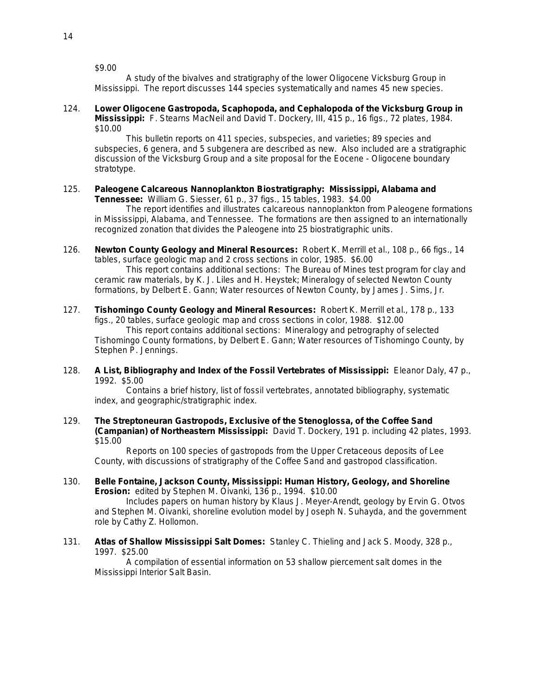\$9.00

A study of the bivalves and stratigraphy of the lower Oligocene Vicksburg Group in Mississippi. The report discusses 144 species systematically and names 45 new species.

124. **Lower Oligocene Gastropoda, Scaphopoda, and Cephalopoda of the Vicksburg Group in Mississippi:** F. Stearns MacNeil and David T. Dockery, III, 415 p., 16 figs., 72 plates, 1984. \$10.00

This bulletin reports on 411 species, subspecies, and varieties; 89 species and subspecies, 6 genera, and 5 subgenera are described as new. Also included are a stratigraphic discussion of the Vicksburg Group and a site proposal for the Eocene - Oligocene boundary stratotype.

125. **Paleogene Calcareous Nannoplankton Biostratigraphy: Mississippi, Alabama and Tennessee:** William G. Siesser, 61 p., 37 figs., 15 tables, 1983. \$4.00

The report identifies and illustrates calcareous nannoplankton from Paleogene formations in Mississippi, Alabama, and Tennessee. The formations are then assigned to an internationally recognized zonation that divides the Paleogene into 25 biostratigraphic units.

126. **Newton County Geology and Mineral Resources:** Robert K. Merrill et al., 108 p., 66 figs., 14 tables, surface geologic map and 2 cross sections in color, 1985. \$6.00

This report contains additional sections: The Bureau of Mines test program for clay and ceramic raw materials, by K. J. Liles and H. Heystek; Mineralogy of selected Newton County formations, by Delbert E. Gann; Water resources of Newton County, by James J. Sims, Jr.

- 127. **Tishomingo County Geology and Mineral Resources:** Robert K. Merrill et al., 178 p., 133 figs., 20 tables, surface geologic map and cross sections in color, 1988. \$12.00 This report contains additional sections: Mineralogy and petrography of selected Tishomingo County formations, by Delbert E. Gann; Water resources of Tishomingo County, by Stephen P. Jennings.
- 128. **A List, Bibliography and Index of the Fossil Vertebrates of Mississippi:** Eleanor Daly, 47 p., 1992. \$5.00

Contains a brief history, list of fossil vertebrates, annotated bibliography, systematic index, and geographic/stratigraphic index.

129. **The Streptoneuran Gastropods, Exclusive of the Stenoglossa, of the Coffee Sand (Campanian) of Northeastern Mississippi:** David T. Dockery, 191 p. including 42 plates, 1993. \$15.00

Reports on 100 species of gastropods from the Upper Cretaceous deposits of Lee County, with discussions of stratigraphy of the Coffee Sand and gastropod classification.

130. **Belle Fontaine, Jackson County, Mississippi: Human History, Geology, and Shoreline Erosion:** edited by Stephen M. Oivanki, 136 p., 1994. \$10.00

Includes papers on human history by Klaus J. Meyer-Arendt, geology by Ervin G. Otvos and Stephen M. Oivanki, shoreline evolution model by Joseph N. Suhayda, and the government role by Cathy Z. Hollomon.

131. **Atlas of Shallow Mississippi Salt Domes:** Stanley C. Thieling and Jack S. Moody, 328 p., 1997. \$25.00

A compilation of essential information on 53 shallow piercement salt domes in the Mississippi Interior Salt Basin.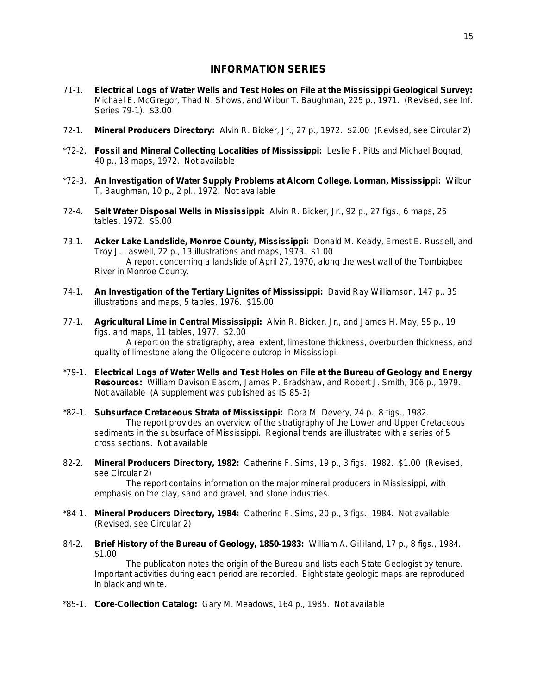## **INFORMATION SERIES**

- 71-1. **Electrical Logs of Water Wells and Test Holes on File at the Mississippi Geological Survey:** Michael E. McGregor, Thad N. Shows, and Wilbur T. Baughman, 225 p., 1971. (Revised, see Inf. Series 79-1). \$3.00
- 72-1. **Mineral Producers Directory:** Alvin R. Bicker, Jr., 27 p., 1972. \$2.00 (Revised, see Circular 2)
- \*72-2. **Fossil and Mineral Collecting Localities of Mississippi:** Leslie P. Pitts and Michael Bograd, 40 p., 18 maps, 1972. Not available
- \*72-3. **An Investigation of Water Supply Problems at Alcorn College, Lorman, Mississippi:** Wilbur T. Baughman, 10 p., 2 pl., 1972. Not available
- 72-4. **Salt Water Disposal Wells in Mississippi:** Alvin R. Bicker, Jr., 92 p., 27 figs., 6 maps, 25 tables, 1972. \$5.00
- 73-1. **Acker Lake Landslide, Monroe County, Mississippi:** Donald M. Keady, Ernest E. Russell, and Troy J. Laswell, 22 p., 13 illustrations and maps, 1973. \$1.00 A report concerning a landslide of April 27, 1970, along the west wall of the Tombigbee River in Monroe County.
- 74-1. **An Investigation of the Tertiary Lignites of Mississippi:** David Ray Williamson, 147 p., 35 illustrations and maps, 5 tables, 1976. \$15.00
- 77-1. **Agricultural Lime in Central Mississippi:** Alvin R. Bicker, Jr., and James H. May, 55 p., 19 figs. and maps, 11 tables, 1977. \$2.00 A report on the stratigraphy, areal extent, limestone thickness, overburden thickness, and quality of limestone along the Oligocene outcrop in Mississippi.
- \*79-1. **Electrical Logs of Water Wells and Test Holes on File at the Bureau of Geology and Energy Resources:** William Davison Easom, James P. Bradshaw, and Robert J. Smith, 306 p., 1979. Not available (A supplement was published as IS 85-3)
- \*82-1. **Subsurface Cretaceous Strata of Mississippi:** Dora M. Devery, 24 p., 8 figs., 1982. The report provides an overview of the stratigraphy of the Lower and Upper Cretaceous sediments in the subsurface of Mississippi. Regional trends are illustrated with a series of 5 cross sections. Not available
- 82-2. **Mineral Producers Directory, 1982:** Catherine F. Sims, 19 p., 3 figs., 1982. \$1.00 (Revised, see Circular 2)

The report contains information on the major mineral producers in Mississippi, with emphasis on the clay, sand and gravel, and stone industries.

- \*84-1. **Mineral Producers Directory, 1984:** Catherine F. Sims, 20 p., 3 figs., 1984. Not available (Revised, see Circular 2)
- 84-2. **Brief History of the Bureau of Geology, 1850-1983:** William A. Gilliland, 17 p., 8 figs., 1984. \$1.00

The publication notes the origin of the Bureau and lists each State Geologist by tenure. Important activities during each period are recorded. Eight state geologic maps are reproduced in black and white.

\*85-1. **Core-Collection Catalog:** Gary M. Meadows, 164 p., 1985. Not available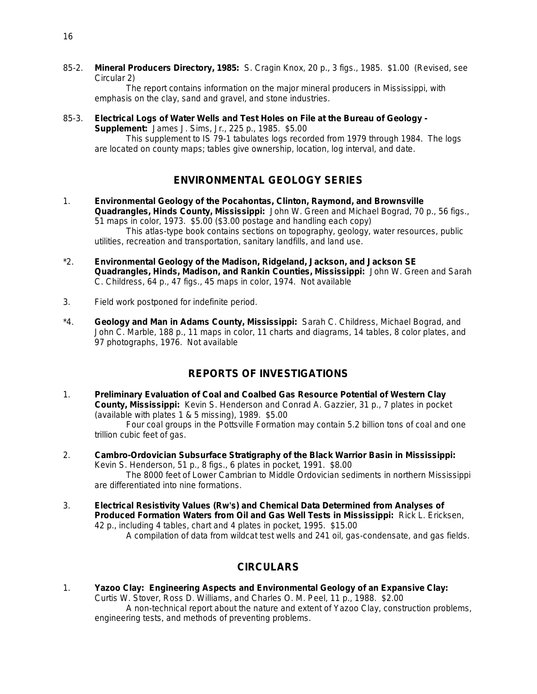85-2. **Mineral Producers Directory, 1985:** S. Cragin Knox, 20 p., 3 figs., 1985. \$1.00 (Revised, see Circular 2)

The report contains information on the major mineral producers in Mississippi, with emphasis on the clay, sand and gravel, and stone industries.

85-3. **Electrical Logs of Water Wells and Test Holes on File at the Bureau of Geology -**

**Supplement:** James J. Sims, Jr., 225 p., 1985. \$5.00

This supplement to IS 79-1 tabulates logs recorded from 1979 through 1984. The logs are located on county maps; tables give ownership, location, log interval, and date.

## **ENVIRONMENTAL GEOLOGY SERIES**

- 1. **Environmental Geology of the Pocahontas, Clinton, Raymond, and Brownsville Quadrangles, Hinds County, Mississippi:** John W. Green and Michael Bograd, 70 p., 56 figs., 51 maps in color, 1973. \$5.00 (\$3.00 postage and handling each copy) This atlas-type book contains sections on topography, geology, water resources, public utilities, recreation and transportation, sanitary landfills, and land use.
- \*2. **Environmental Geology of the Madison, Ridgeland, Jackson, and Jackson SE Quadrangles, Hinds, Madison, and Rankin Counties, Mississippi:** John W. Green and Sarah C. Childress, 64 p., 47 figs., 45 maps in color, 1974. Not available
- 3. Field work postponed for indefinite period.
- \*4. **Geology and Man in Adams County, Mississippi:** Sarah C. Childress, Michael Bograd, and John C. Marble, 188 p., 11 maps in color, 11 charts and diagrams, 14 tables, 8 color plates, and 97 photographs, 1976. Not available

## **REPORTS OF INVESTIGATIONS**

1. **Preliminary Evaluation of Coal and Coalbed Gas Resource Potential of Western Clay County, Mississippi:** Kevin S. Henderson and Conrad A. Gazzier, 31 p., 7 plates in pocket (available with plates 1 & 5 missing), 1989. \$5.00

Four coal groups in the Pottsville Formation may contain 5.2 billion tons of coal and one trillion cubic feet of gas.

- 2. **Cambro-Ordovician Subsurface Stratigraphy of the Black Warrior Basin in Mississippi:** Kevin S. Henderson, 51 p., 8 figs., 6 plates in pocket, 1991. \$8.00 The 8000 feet of Lower Cambrian to Middle Ordovician sediments in northern Mississippi are differentiated into nine formations.
- 3. **Electrical Resistivity Values (Rw's) and Chemical Data Determined from Analyses of Produced Formation Waters from Oil and Gas Well Tests in Mississippi:** Rick L. Ericksen, 42 p., including 4 tables, chart and 4 plates in pocket, 1995. \$15.00

A compilation of data from wildcat test wells and 241 oil, gas-condensate, and gas fields.

## **CIRCULARS**

1. **Yazoo Clay: Engineering Aspects and Environmental Geology of an Expansive Clay:** Curtis W. Stover, Ross D. Williams, and Charles O. M. Peel, 11 p., 1988. \$2.00 A non-technical report about the nature and extent of Yazoo Clay, construction problems, engineering tests, and methods of preventing problems.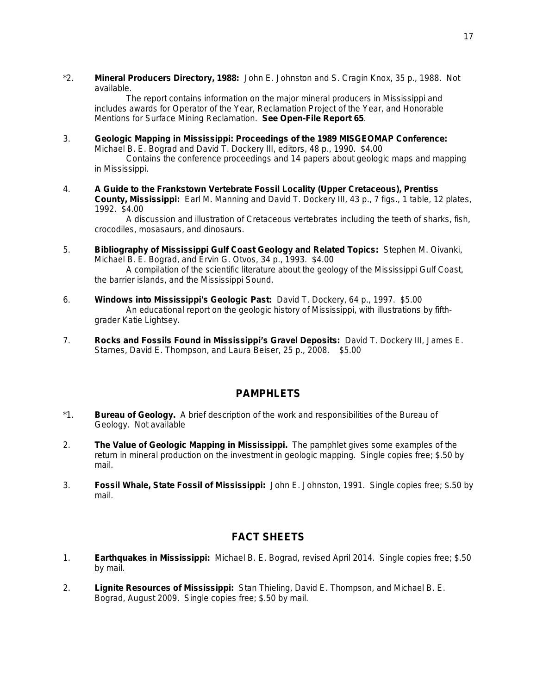\*2. **Mineral Producers Directory, 1988:** John E. Johnston and S. Cragin Knox, 35 p., 1988. Not available.

The report contains information on the major mineral producers in Mississippi and includes awards for Operator of the Year, Reclamation Project of the Year, and Honorable Mentions for Surface Mining Reclamation. **See Open-File Report 65**.

- 3. **Geologic Mapping in Mississippi: Proceedings of the 1989 MISGEOMAP Conference:** Michael B. E. Bograd and David T. Dockery III, editors, 48 p., 1990. \$4.00 Contains the conference proceedings and 14 papers about geologic maps and mapping in Mississippi.
- 4. **A Guide to the Frankstown Vertebrate Fossil Locality (Upper Cretaceous), Prentiss County, Mississippi:** Earl M. Manning and David T. Dockery III, 43 p., 7 figs., 1 table, 12 plates, 1992. \$4.00

A discussion and illustration of Cretaceous vertebrates including the teeth of sharks, fish, crocodiles, mosasaurs, and dinosaurs.

- 5. **Bibliography of Mississippi Gulf Coast Geology and Related Topics:** Stephen M. Oivanki, Michael B. E. Bograd, and Ervin G. Otvos, 34 p., 1993. \$4.00 A compilation of the scientific literature about the geology of the Mississippi Gulf Coast, the barrier islands, and the Mississippi Sound.
- 6. **Windows into Mississippi's Geologic Past:** David T. Dockery, 64 p., 1997. \$5.00 An educational report on the geologic history of Mississippi, with illustrations by fifthgrader Katie Lightsey.
- 7. **Rocks and Fossils Found in Mississippi's Gravel Deposits:** David T. Dockery III, James E. Starnes, David E. Thompson, and Laura Beiser, 25 p., 2008. \$5.00

## **PAMPHLETS**

- \*1. **Bureau of Geology.** A brief description of the work and responsibilities of the Bureau of Geology. Not available
- 2. **The Value of Geologic Mapping in Mississippi.** The pamphlet gives some examples of the return in mineral production on the investment in geologic mapping. Single copies free; \$.50 by mail.
- 3. **Fossil Whale, State Fossil of Mississippi:** John E. Johnston, 1991. Single copies free; \$.50 by mail.

## **FACT SHEETS**

- 1. **Earthquakes in Mississippi:** Michael B. E. Bograd, revised April 2014. Single copies free; \$.50 by mail.
- 2. **Lignite Resources of Mississippi:** Stan Thieling, David E. Thompson, and Michael B. E. Bograd, August 2009. Single copies free; \$.50 by mail.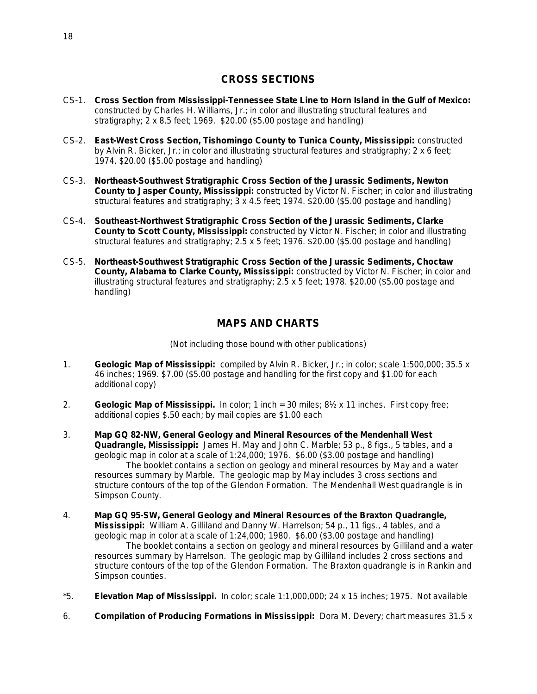## **CROSS SECTIONS**

- CS-1. **Cross Section from Mississippi-Tennessee State Line to Horn Island in the Gulf of Mexico:** constructed by Charles H. Williams, Jr.; in color and illustrating structural features and stratigraphy; 2 x 8.5 feet; 1969. \$20.00 (\$5.00 postage and handling)
- CS-2. **East-West Cross Section, Tishomingo County to Tunica County, Mississippi:** constructed by Alvin R. Bicker, Jr.; in color and illustrating structural features and stratigraphy; 2 x 6 feet; 1974. \$20.00 (\$5.00 postage and handling)
- CS-3. **Northeast-Southwest Stratigraphic Cross Section of the Jurassic Sediments, Newton County to Jasper County, Mississippi:** constructed by Victor N. Fischer; in color and illustrating structural features and stratigraphy; 3 x 4.5 feet; 1974. \$20.00 (\$5.00 postage and handling)
- CS-4. **Southeast-Northwest Stratigraphic Cross Section of the Jurassic Sediments, Clarke County to Scott County, Mississippi:** constructed by Victor N. Fischer; in color and illustrating structural features and stratigraphy; 2.5 x 5 feet; 1976. \$20.00 (\$5.00 postage and handling)
- CS-5. **Northeast-Southwest Stratigraphic Cross Section of the Jurassic Sediments, Choctaw County, Alabama to Clarke County, Mississippi:** constructed by Victor N. Fischer; in color and illustrating structural features and stratigraphy; 2.5 x 5 feet; 1978. \$20.00 (\$5.00 postage and handling)

## **MAPS AND CHARTS**

(Not including those bound with other publications)

- 1. **Geologic Map of Mississippi:** compiled by Alvin R. Bicker, Jr.; in color; scale 1:500,000; 35.5 x 46 inches; 1969. \$7.00 (\$5.00 postage and handling for the first copy and \$1.00 for each additional copy)
- 2. **Geologic Map of Mississippi.** In color; 1 inch = 30 miles; 8½ x 11 inches. First copy free; additional copies \$.50 each; by mail copies are \$1.00 each
- 3. **Map GQ 82-NW, General Geology and Mineral Resources of the Mendenhall West Quadrangle, Mississippi:** James H. May and John C. Marble; 53 p., 8 figs., 5 tables, and a geologic map in color at a scale of 1:24,000; 1976. \$6.00 (\$3.00 postage and handling) The booklet contains a section on geology and mineral resources by May and a water resources summary by Marble. The geologic map by May includes 3 cross sections and structure contours of the top of the Glendon Formation. The Mendenhall West quadrangle is in Simpson County.
- 4. **Map GQ 95-SW, General Geology and Mineral Resources of the Braxton Quadrangle, Mississippi:** William A. Gilliland and Danny W. Harrelson; 54 p., 11 figs., 4 tables, and a geologic map in color at a scale of 1:24,000; 1980. \$6.00 (\$3.00 postage and handling) The booklet contains a section on geology and mineral resources by Gilliland and a water resources summary by Harrelson. The geologic map by Gilliland includes 2 cross sections and structure contours of the top of the Glendon Formation. The Braxton quadrangle is in Rankin and Simpson counties.
- \*5. **Elevation Map of Mississippi.** In color; scale 1:1,000,000; 24 x 15 inches; 1975. Not available
- 6. **Compilation of Producing Formations in Mississippi:** Dora M. Devery; chart measures 31.5 x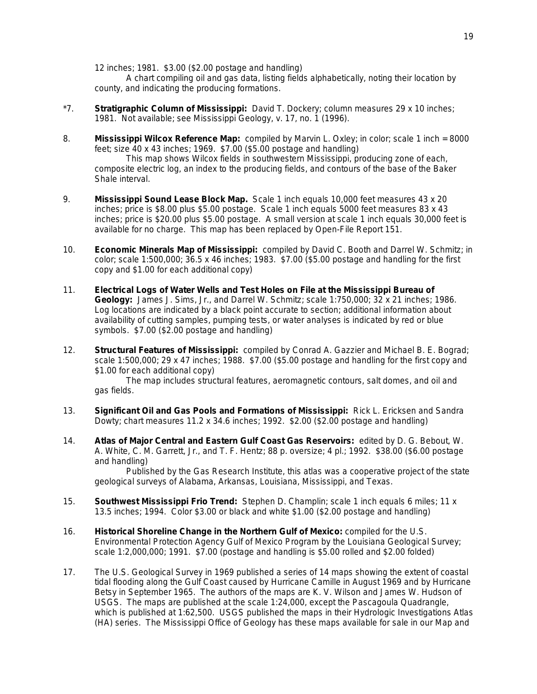12 inches; 1981. \$3.00 (\$2.00 postage and handling)

A chart compiling oil and gas data, listing fields alphabetically, noting their location by county, and indicating the producing formations.

- \*7. **Stratigraphic Column of Mississippi:** David T. Dockery; column measures 29 x 10 inches; 1981. Not available; see *Mississippi Geology*, v. 17, no. 1 (1996).
- 8. **Mississippi Wilcox Reference Map:** compiled by Marvin L. Oxley; in color; scale 1 inch = 8000 feet; size 40 x 43 inches; 1969. \$7.00 (\$5.00 postage and handling)

This map shows Wilcox fields in southwestern Mississippi, producing zone of each, composite electric log, an index to the producing fields, and contours of the base of the Baker Shale interval.

- 9. **Mississippi Sound Lease Block Map.** Scale 1 inch equals 10,000 feet measures 43 x 20 inches; price is \$8.00 plus \$5.00 postage. Scale 1 inch equals 5000 feet measures 83 x 43 inches; price is \$20.00 plus \$5.00 postage. A small version at scale 1 inch equals 30,000 feet is available for no charge. This map has been replaced by Open-File Report 151.
- 10. **Economic Minerals Map of Mississippi:** compiled by David C. Booth and Darrel W. Schmitz; in color; scale 1:500,000; 36.5 x 46 inches; 1983. \$7.00 (\$5.00 postage and handling for the first copy and \$1.00 for each additional copy)
- 11. **Electrical Logs of Water Wells and Test Holes on File at the Mississippi Bureau of Geology:** James J. Sims, Jr., and Darrel W. Schmitz; scale 1:750,000; 32 x 21 inches; 1986. Log locations are indicated by a black point accurate to section; additional information about availability of cutting samples, pumping tests, or water analyses is indicated by red or blue symbols. \$7.00 (\$2.00 postage and handling)
- 12. **Structural Features of Mississippi:** compiled by Conrad A. Gazzier and Michael B. E. Bograd; scale 1:500,000; 29 x 47 inches; 1988. \$7.00 (\$5.00 postage and handling for the first copy and \$1.00 for each additional copy)

The map includes structural features, aeromagnetic contours, salt domes, and oil and gas fields.

- 13. **Significant Oil and Gas Pools and Formations of Mississippi:** Rick L. Ericksen and Sandra Dowty; chart measures  $11.2 \times 34.6$  inches; 1992. \$2.00 (\$2.00 postage and handling)
- 14. **Atlas of Major Central and Eastern Gulf Coast Gas Reservoirs:** edited by D. G. Bebout, W. A. White, C. M. Garrett, Jr., and T. F. Hentz; 88 p. oversize; 4 pl.; 1992. \$38.00 (\$6.00 postage and handling)

Published by the Gas Research Institute, this atlas was a cooperative project of the state geological surveys of Alabama, Arkansas, Louisiana, Mississippi, and Texas.

- 15. **Southwest Mississippi Frio Trend:** Stephen D. Champlin; scale 1 inch equals 6 miles; 11 x 13.5 inches; 1994. Color \$3.00 or black and white \$1.00 (\$2.00 postage and handling)
- 16. **Historical Shoreline Change in the Northern Gulf of Mexico:** compiled for the U.S. Environmental Protection Agency Gulf of Mexico Program by the Louisiana Geological Survey; scale 1:2,000,000; 1991. \$7.00 (postage and handling is \$5.00 rolled and \$2.00 folded)
- 17. The U.S. Geological Survey in 1969 published a series of 14 maps showing the extent of coastal tidal flooding along the Gulf Coast caused by Hurricane Camille in August 1969 and by Hurricane Betsy in September 1965. The authors of the maps are K. V. Wilson and James W. Hudson of USGS. The maps are published at the scale 1:24,000, except the Pascagoula Quadrangle, which is published at 1:62,500. USGS published the maps in their Hydrologic Investigations Atlas (HA) series. The Mississippi Office of Geology has these maps available for sale in our Map and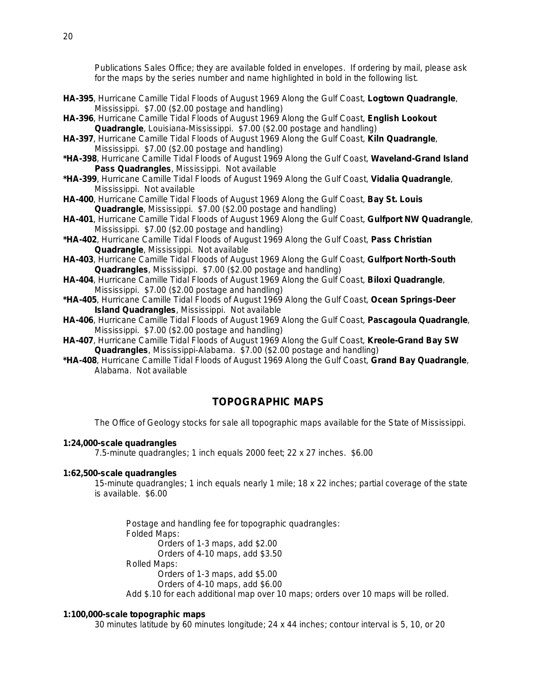Publications Sales Office; they are available folded in envelopes. If ordering by mail, please ask for the maps by the series number and name highlighted in bold in the following list.

- **HA-395**, Hurricane Camille Tidal Floods of August 1969 Along the Gulf Coast, **Logtown Quadrangle**, Mississippi. \$7.00 (\$2.00 postage and handling)
- **HA-396**, Hurricane Camille Tidal Floods of August 1969 Along the Gulf Coast, **English Lookout Quadrangle**, Louisiana-Mississippi. \$7.00 (\$2.00 postage and handling)
- **HA-397**, Hurricane Camille Tidal Floods of August 1969 Along the Gulf Coast, **Kiln Quadrangle**, Mississippi. \$7.00 (\$2.00 postage and handling)
- **\*HA-398**, Hurricane Camille Tidal Floods of August 1969 Along the Gulf Coast, **Waveland-Grand Island Pass Quadrangles**, Mississippi. Not available
- **\*HA-399**, Hurricane Camille Tidal Floods of August 1969 Along the Gulf Coast, **Vidalia Quadrangle**, Mississippi. Not available
- **HA-400**, Hurricane Camille Tidal Floods of August 1969 Along the Gulf Coast, **Bay St. Louis Quadrangle**, Mississippi. \$7.00 (\$2.00 postage and handling)
- **HA-401**, Hurricane Camille Tidal Floods of August 1969 Along the Gulf Coast, **Gulfport NW Quadrangle**, Mississippi. \$7.00 (\$2.00 postage and handling)
- **\*HA-402**, Hurricane Camille Tidal Floods of August 1969 Along the Gulf Coast, **Pass Christian Quadrangle**, Mississippi. Not available
- **HA-403**, Hurricane Camille Tidal Floods of August 1969 Along the Gulf Coast, **Gulfport North-South Quadrangles**, Mississippi. \$7.00 (\$2.00 postage and handling)
- **HA-404**, Hurricane Camille Tidal Floods of August 1969 Along the Gulf Coast, **Biloxi Quadrangle**, Mississippi. \$7.00 (\$2.00 postage and handling)
- **\*HA-405**, Hurricane Camille Tidal Floods of August 1969 Along the Gulf Coast, **Ocean Springs-Deer Island Quadrangles**, Mississippi. Not available
- **HA-406**, Hurricane Camille Tidal Floods of August 1969 Along the Gulf Coast, **Pascagoula Quadrangle**, Mississippi. \$7.00 (\$2.00 postage and handling)
- **HA-407**, Hurricane Camille Tidal Floods of August 1969 Along the Gulf Coast, **Kreole-Grand Bay SW Quadrangles**, Mississippi-Alabama. \$7.00 (\$2.00 postage and handling)
- **\*HA-408**, Hurricane Camille Tidal Floods of August 1969 Along the Gulf Coast, **Grand Bay Quadrangle**, Alabama. Not available

## **TOPOGRAPHIC MAPS**

The Office of Geology stocks for sale all topographic maps available for the State of Mississippi.

#### **1:24,000-scale quadrangles**

7.5-minute quadrangles; 1 inch equals 2000 feet; 22 x 27 inches. \$6.00

#### **1:62,500-scale quadrangles**

15-minute quadrangles; 1 inch equals nearly 1 mile; 18 x 22 inches; partial coverage of the state is available. \$6.00

Postage and handling fee for topographic quadrangles: Folded Maps: Orders of 1-3 maps, add \$2.00 Orders of 4-10 maps, add \$3.50 Rolled Maps: Orders of 1-3 maps, add \$5.00 Orders of 4-10 maps, add \$6.00 Add \$.10 for each additional map over 10 maps; orders over 10 maps will be rolled.

#### **1:100,000-scale topographic maps**

30 minutes latitude by 60 minutes longitude; 24 x 44 inches; contour interval is 5, 10, or 20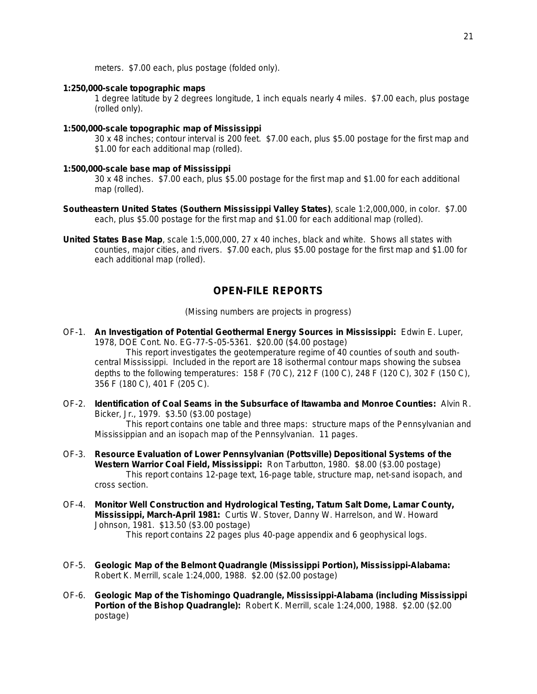meters. \$7.00 each, plus postage (folded only).

#### **1:250,000-scale topographic maps**

1 degree latitude by 2 degrees longitude, 1 inch equals nearly 4 miles. \$7.00 each, plus postage (rolled only).

#### **1:500,000-scale topographic map of Mississippi**

30 x 48 inches; contour interval is 200 feet. \$7.00 each, plus \$5.00 postage for the first map and \$1.00 for each additional map (rolled).

#### **1:500,000-scale base map of Mississippi**

30 x 48 inches. \$7.00 each, plus \$5.00 postage for the first map and \$1.00 for each additional map (rolled).

- **Southeastern United States (Southern Mississippi Valley States)**, scale 1:2,000,000, in color. \$7.00 each, plus \$5.00 postage for the first map and \$1.00 for each additional map (rolled).
- **United States Base Map**, scale 1:5,000,000, 27 x 40 inches, black and white. Shows all states with counties, major cities, and rivers. \$7.00 each, plus \$5.00 postage for the first map and \$1.00 for each additional map (rolled).

## **OPEN-FILE REPORTS**

(Missing numbers are projects in progress)

OF-1. **An Investigation of Potential Geothermal Energy Sources in Mississippi:** Edwin E. Luper, 1978, DOE Cont. No. EG-77-S-05-5361. \$20.00 (\$4.00 postage)

This report investigates the geotemperature regime of 40 counties of south and southcentral Mississippi. Included in the report are 18 isothermal contour maps showing the subsea depths to the following temperatures: 158 F (70 C), 212 F (100 C), 248 F (120 C), 302 F (150 C), 356 F (180 C), 401 F (205 C).

OF-2. **Identification of Coal Seams in the Subsurface of Itawamba and Monroe Counties:** Alvin R. Bicker, Jr., 1979. \$3.50 (\$3.00 postage)

This report contains one table and three maps: structure maps of the Pennsylvanian and Mississippian and an isopach map of the Pennsylvanian. 11 pages.

- OF-3. **Resource Evaluation of Lower Pennsylvanian (Pottsville) Depositional Systems of the Western Warrior Coal Field, Mississippi:** Ron Tarbutton, 1980. \$8.00 (\$3.00 postage) This report contains 12-page text, 16-page table, structure map, net-sand isopach, and cross section.
- OF-4. **Monitor Well Construction and Hydrological Testing, Tatum Salt Dome, Lamar County, Mississippi, March-April 1981:** Curtis W. Stover, Danny W. Harrelson, and W. Howard Johnson, 1981. \$13.50 (\$3.00 postage) This report contains 22 pages plus 40-page appendix and 6 geophysical logs.
- OF-5. **Geologic Map of the Belmont Quadrangle (Mississippi Portion), Mississippi-Alabama:** Robert K. Merrill, scale 1:24,000, 1988. \$2.00 (\$2.00 postage)
- OF-6. **Geologic Map of the Tishomingo Quadrangle, Mississippi-Alabama (including Mississippi Portion of the Bishop Quadrangle):** Robert K. Merrill, scale 1:24,000, 1988. \$2.00 (\$2.00 postage)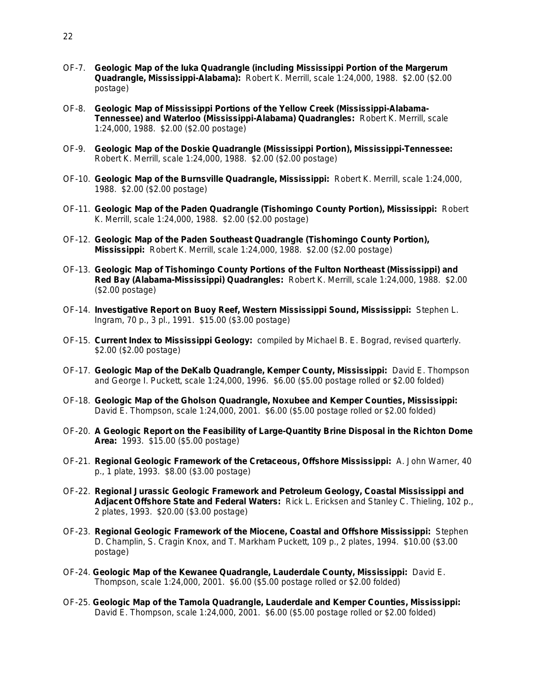- OF-7. **Geologic Map of the Iuka Quadrangle (including Mississippi Portion of the Margerum Quadrangle, Mississippi-Alabama):** Robert K. Merrill, scale 1:24,000, 1988. \$2.00 (\$2.00 postage)
- OF-8. **Geologic Map of Mississippi Portions of the Yellow Creek (Mississippi-Alabama-Tennessee) and Waterloo (Mississippi-Alabama) Quadrangles:** Robert K. Merrill, scale 1:24,000, 1988. \$2.00 (\$2.00 postage)
- OF-9. **Geologic Map of the Doskie Quadrangle (Mississippi Portion), Mississippi-Tennessee:** Robert K. Merrill, scale 1:24,000, 1988. \$2.00 (\$2.00 postage)
- OF-10. **Geologic Map of the Burnsville Quadrangle, Mississippi:** Robert K. Merrill, scale 1:24,000, 1988. \$2.00 (\$2.00 postage)
- OF-11. **Geologic Map of the Paden Quadrangle (Tishomingo County Portion), Mississippi:** Robert K. Merrill, scale 1:24,000, 1988. \$2.00 (\$2.00 postage)
- OF-12. **Geologic Map of the Paden Southeast Quadrangle (Tishomingo County Portion), Mississippi:** Robert K. Merrill, scale 1:24,000, 1988. \$2.00 (\$2.00 postage)
- OF-13. **Geologic Map of Tishomingo County Portions of the Fulton Northeast (Mississippi) and Red Bay (Alabama-Mississippi) Quadrangles:** Robert K. Merrill, scale 1:24,000, 1988. \$2.00 (\$2.00 postage)
- OF-14. **Investigative Report on Buoy Reef, Western Mississippi Sound, Mississippi:** Stephen L. Ingram, 70 p., 3 pl., 1991. \$15.00 (\$3.00 postage)
- OF-15. **Current Index to** *Mississippi Geology***:** compiled by Michael B. E. Bograd, revised quarterly. \$2.00 (\$2.00 postage)
- OF-17. **Geologic Map of the DeKalb Quadrangle, Kemper County, Mississippi:** David E. Thompson and George I. Puckett, scale 1:24,000, 1996. \$6.00 (\$5.00 postage rolled or \$2.00 folded)
- OF-18. **Geologic Map of the Gholson Quadrangle, Noxubee and Kemper Counties, Mississippi:** David E. Thompson, scale 1:24,000, 2001. \$6.00 (\$5.00 postage rolled or \$2.00 folded)
- OF-20. **A Geologic Report on the Feasibility of Large-Quantity Brine Disposal in the Richton Dome Area:** 1993. \$15.00 (\$5.00 postage)
- OF-21. **Regional Geologic Framework of the Cretaceous, Offshore Mississippi:** A. John Warner, 40 p., 1 plate, 1993. \$8.00 (\$3.00 postage)
- OF-22. **Regional Jurassic Geologic Framework and Petroleum Geology, Coastal Mississippi and Adjacent Offshore State and Federal Waters:** Rick L. Ericksen and Stanley C. Thieling, 102 p., 2 plates, 1993. \$20.00 (\$3.00 postage)
- OF-23. **Regional Geologic Framework of the Miocene, Coastal and Offshore Mississippi:** Stephen D. Champlin, S. Cragin Knox, and T. Markham Puckett, 109 p., 2 plates, 1994. \$10.00 (\$3.00 postage)
- OF-24. **Geologic Map of the Kewanee Quadrangle, Lauderdale County, Mississippi:** David E. Thompson, scale 1:24,000, 2001. \$6.00 (\$5.00 postage rolled or \$2.00 folded)
- OF-25. **Geologic Map of the Tamola Quadrangle, Lauderdale and Kemper Counties, Mississippi:** David E. Thompson, scale 1:24,000, 2001. \$6.00 (\$5.00 postage rolled or \$2.00 folded)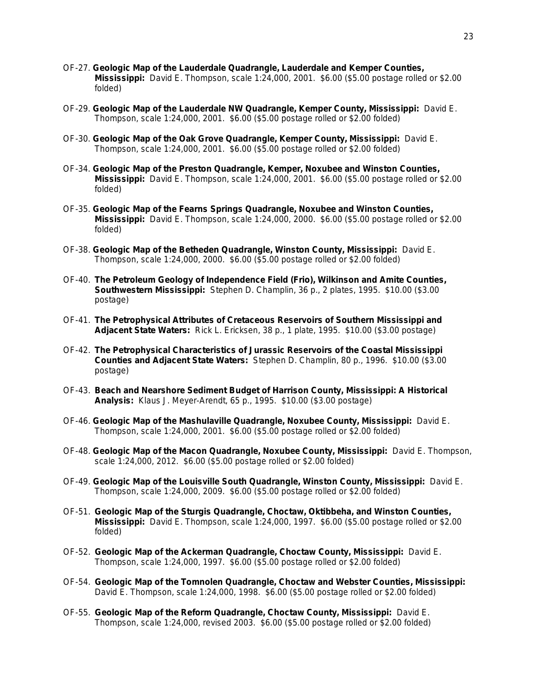- OF-27. **Geologic Map of the Lauderdale Quadrangle, Lauderdale and Kemper Counties, Mississippi:** David E. Thompson, scale 1:24,000, 2001. \$6.00 (\$5.00 postage rolled or \$2.00 folded)
- OF-29. **Geologic Map of the Lauderdale NW Quadrangle, Kemper County, Mississippi:** David E. Thompson, scale 1:24,000, 2001. \$6.00 (\$5.00 postage rolled or \$2.00 folded)
- OF-30. **Geologic Map of the Oak Grove Quadrangle, Kemper County, Mississippi:** David E. Thompson, scale 1:24,000, 2001. \$6.00 (\$5.00 postage rolled or \$2.00 folded)
- OF-34. **Geologic Map of the Preston Quadrangle, Kemper, Noxubee and Winston Counties, Mississippi:** David E. Thompson, scale 1:24,000, 2001. \$6.00 (\$5.00 postage rolled or \$2.00 folded)
- OF-35. **Geologic Map of the Fearns Springs Quadrangle, Noxubee and Winston Counties, Mississippi:** David E. Thompson, scale 1:24,000, 2000. \$6.00 (\$5.00 postage rolled or \$2.00 folded)
- OF-38. **Geologic Map of the Betheden Quadrangle, Winston County, Mississippi:** David E. Thompson, scale 1:24,000, 2000. \$6.00 (\$5.00 postage rolled or \$2.00 folded)
- OF-40. **The Petroleum Geology of Independence Field (Frio), Wilkinson and Amite Counties, Southwestern Mississippi:** Stephen D. Champlin, 36 p., 2 plates, 1995. \$10.00 (\$3.00 postage)
- OF-41. **The Petrophysical Attributes of Cretaceous Reservoirs of Southern Mississippi and Adjacent State Waters:** Rick L. Ericksen, 38 p., 1 plate, 1995. \$10.00 (\$3.00 postage)
- OF-42. **The Petrophysical Characteristics of Jurassic Reservoirs of the Coastal Mississippi Counties and Adjacent State Waters:** Stephen D. Champlin, 80 p., 1996. \$10.00 (\$3.00 postage)
- OF-43. **Beach and Nearshore Sediment Budget of Harrison County, Mississippi: A Historical Analysis:** Klaus J. Meyer-Arendt, 65 p., 1995. \$10.00 (\$3.00 postage)
- OF-46. **Geologic Map of the Mashulaville Quadrangle, Noxubee County, Mississippi:** David E. Thompson, scale 1:24,000, 2001. \$6.00 (\$5.00 postage rolled or \$2.00 folded)
- OF-48. **Geologic Map of the Macon Quadrangle, Noxubee County, Mississippi:** David E. Thompson, scale 1:24,000, 2012. \$6.00 (\$5.00 postage rolled or \$2.00 folded)
- OF-49. **Geologic Map of the Louisville South Quadrangle, Winston County, Mississippi:** David E. Thompson, scale 1:24,000, 2009. \$6.00 (\$5.00 postage rolled or \$2.00 folded)
- OF-51. **Geologic Map of the Sturgis Quadrangle, Choctaw, Oktibbeha, and Winston Counties, Mississippi:** David E. Thompson, scale 1:24,000, 1997. \$6.00 (\$5.00 postage rolled or \$2.00 folded)
- OF-52. **Geologic Map of the Ackerman Quadrangle, Choctaw County, Mississippi:** David E. Thompson, scale 1:24,000, 1997. \$6.00 (\$5.00 postage rolled or \$2.00 folded)
- OF-54. **Geologic Map of the Tomnolen Quadrangle, Choctaw and Webster Counties, Mississippi:** David E. Thompson, scale 1:24,000, 1998. \$6.00 (\$5.00 postage rolled or \$2.00 folded)
- OF-55. **Geologic Map of the Reform Quadrangle, Choctaw County, Mississippi:** David E. Thompson, scale 1:24,000, revised 2003. \$6.00 (\$5.00 postage rolled or \$2.00 folded)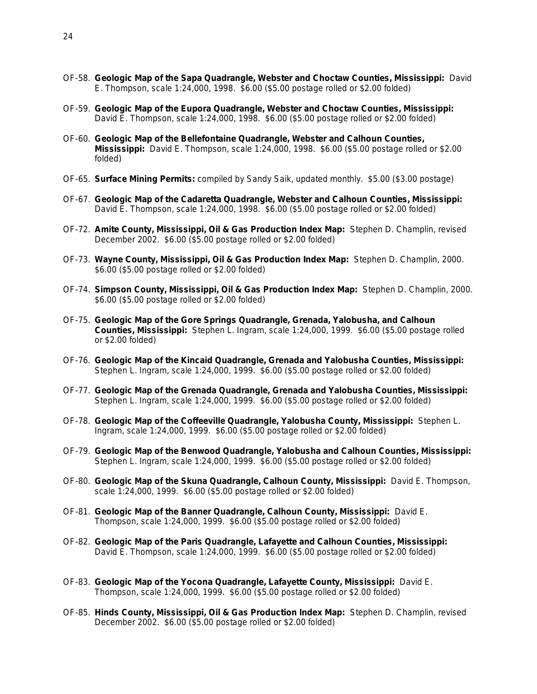- OF-58. **Geologic Map of the Sapa Quadrangle, Webster and Choctaw Counties, Mississippi:** David E. Thompson, scale 1:24,000, 1998. \$6.00 (\$5.00 postage rolled or \$2.00 folded)
- OF-59. **Geologic Map of the Eupora Quadrangle, Webster and Choctaw Counties, Mississippi:** David E. Thompson, scale 1:24,000, 1998. \$6.00 (\$5.00 postage rolled or \$2.00 folded)
- OF-60. **Geologic Map of the Bellefontaine Quadrangle, Webster and Calhoun Counties, Mississippi:** David E. Thompson, scale 1:24,000, 1998. \$6.00 (\$5.00 postage rolled or \$2.00 folded)
- OF-65. **Surface Mining Permits:** compiled by Sandy Saik, updated monthly. \$5.00 (\$3.00 postage)
- OF-67. **Geologic Map of the Cadaretta Quadrangle, Webster and Calhoun Counties, Mississippi:** David E. Thompson, scale 1:24,000, 1998. \$6.00 (\$5.00 postage rolled or \$2.00 folded)
- OF-72. **Amite County, Mississippi, Oil & Gas Production Index Map:** Stephen D. Champlin, revised December 2002. \$6.00 (\$5.00 postage rolled or \$2.00 folded)
- OF-73. **Wayne County, Mississippi, Oil & Gas Production Index Map:** Stephen D. Champlin, 2000. \$6.00 (\$5.00 postage rolled or \$2.00 folded)
- OF-74. **Simpson County, Mississippi, Oil & Gas Production Index Map:** Stephen D. Champlin, 2000. \$6.00 (\$5.00 postage rolled or \$2.00 folded)
- OF-75. **Geologic Map of the Gore Springs Quadrangle, Grenada, Yalobusha, and Calhoun Counties, Mississippi:** Stephen L. Ingram, scale 1:24,000, 1999. \$6.00 (\$5.00 postage rolled or \$2.00 folded)
- OF-76. **Geologic Map of the Kincaid Quadrangle, Grenada and Yalobusha Counties, Mississippi:** Stephen L. Ingram, scale 1:24,000, 1999. \$6.00 (\$5.00 postage rolled or \$2.00 folded)
- OF-77. **Geologic Map of the Grenada Quadrangle, Grenada and Yalobusha Counties, Mississippi:** Stephen L. Ingram, scale 1:24,000, 1999. \$6.00 (\$5.00 postage rolled or \$2.00 folded)
- OF-78. **Geologic Map of the Coffeeville Quadrangle, Yalobusha County, Mississippi:** Stephen L. Ingram, scale 1:24,000, 1999. \$6.00 (\$5.00 postage rolled or \$2.00 folded)
- OF-79. **Geologic Map of the Benwood Quadrangle, Yalobusha and Calhoun Counties, Mississippi:** Stephen L. Ingram, scale 1:24,000, 1999. \$6.00 (\$5.00 postage rolled or \$2.00 folded)
- OF-80. **Geologic Map of the Skuna Quadrangle, Calhoun County, Mississippi:** David E. Thompson, scale 1:24,000, 1999. \$6.00 (\$5.00 postage rolled or \$2.00 folded)
- OF-81. **Geologic Map of the Banner Quadrangle, Calhoun County, Mississippi:** David E. Thompson, scale 1:24,000, 1999. \$6.00 (\$5.00 postage rolled or \$2.00 folded)
- OF-82. **Geologic Map of the Paris Quadrangle, Lafayette and Calhoun Counties, Mississippi:** David E. Thompson, scale 1:24,000, 1999. \$6.00 (\$5.00 postage rolled or \$2.00 folded)
- OF-83. **Geologic Map of the Yocona Quadrangle, Lafayette County, Mississippi:** David E. Thompson, scale 1:24,000, 1999. \$6.00 (\$5.00 postage rolled or \$2.00 folded)
- OF-85. **Hinds County, Mississippi, Oil & Gas Production Index Map:** Stephen D. Champlin, revised December 2002. \$6.00 (\$5.00 postage rolled or \$2.00 folded)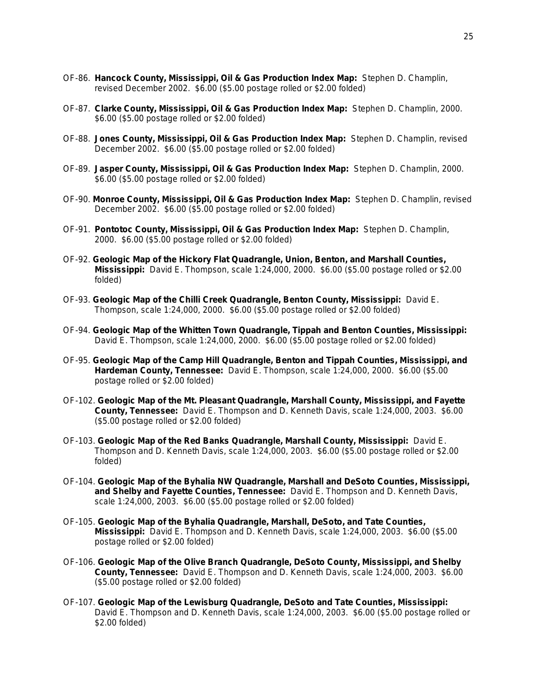- OF-86. **Hancock County, Mississippi, Oil & Gas Production Index Map:** Stephen D. Champlin, revised December 2002. \$6.00 (\$5.00 postage rolled or \$2.00 folded)
- OF-87. **Clarke County, Mississippi, Oil & Gas Production Index Map:** Stephen D. Champlin, 2000. \$6.00 (\$5.00 postage rolled or \$2.00 folded)
- OF-88. **Jones County, Mississippi, Oil & Gas Production Index Map:** Stephen D. Champlin, revised December 2002. \$6.00 (\$5.00 postage rolled or \$2.00 folded)
- OF-89. **Jasper County, Mississippi, Oil & Gas Production Index Map:** Stephen D. Champlin, 2000. \$6.00 (\$5.00 postage rolled or \$2.00 folded)
- OF-90. **Monroe County, Mississippi, Oil & Gas Production Index Map:** Stephen D. Champlin, revised December 2002. \$6.00 (\$5.00 postage rolled or \$2.00 folded)
- OF-91. **Pontotoc County, Mississippi, Oil & Gas Production Index Map:** Stephen D. Champlin, 2000. \$6.00 (\$5.00 postage rolled or \$2.00 folded)
- OF-92. **Geologic Map of the Hickory Flat Quadrangle, Union, Benton, and Marshall Counties, Mississippi:** David E. Thompson, scale 1:24,000, 2000. \$6.00 (\$5.00 postage rolled or \$2.00 folded)
- OF-93. **Geologic Map of the Chilli Creek Quadrangle, Benton County, Mississippi:** David E. Thompson, scale 1:24,000, 2000. \$6.00 (\$5.00 postage rolled or \$2.00 folded)
- OF-94. **Geologic Map of the Whitten Town Quadrangle, Tippah and Benton Counties, Mississippi:** David E. Thompson, scale 1:24,000, 2000. \$6.00 (\$5.00 postage rolled or \$2.00 folded)
- OF-95. **Geologic Map of the Camp Hill Quadrangle, Benton and Tippah Counties, Mississippi, and Hardeman County, Tennessee:** David E. Thompson, scale 1:24,000, 2000. \$6.00 (\$5.00 postage rolled or \$2.00 folded)
- OF-102. **Geologic Map of the Mt. Pleasant Quadrangle, Marshall County, Mississippi, and Fayette County, Tennessee:** David E. Thompson and D. Kenneth Davis, scale 1:24,000, 2003. \$6.00 (\$5.00 postage rolled or \$2.00 folded)
- OF-103. **Geologic Map of the Red Banks Quadrangle, Marshall County, Mississippi:** David E. Thompson and D. Kenneth Davis, scale 1:24,000, 2003. \$6.00 (\$5.00 postage rolled or \$2.00 folded)
- OF-104. **Geologic Map of the Byhalia NW Quadrangle, Marshall and DeSoto Counties, Mississippi, and Shelby and Fayette Counties, Tennessee:** David E. Thompson and D. Kenneth Davis, scale 1:24,000, 2003. \$6.00 (\$5.00 postage rolled or \$2.00 folded)
- OF-105. **Geologic Map of the Byhalia Quadrangle, Marshall, DeSoto, and Tate Counties, Mississippi:** David E. Thompson and D. Kenneth Davis, scale 1:24,000, 2003. \$6.00 (\$5.00 postage rolled or \$2.00 folded)
- OF-106. **Geologic Map of the Olive Branch Quadrangle, DeSoto County, Mississippi, and Shelby County, Tennessee:** David E. Thompson and D. Kenneth Davis, scale 1:24,000, 2003. \$6.00 (\$5.00 postage rolled or \$2.00 folded)
- OF-107. **Geologic Map of the Lewisburg Quadrangle, DeSoto and Tate Counties, Mississippi:** David E. Thompson and D. Kenneth Davis, scale 1:24,000, 2003. \$6.00 (\$5.00 postage rolled or \$2.00 folded)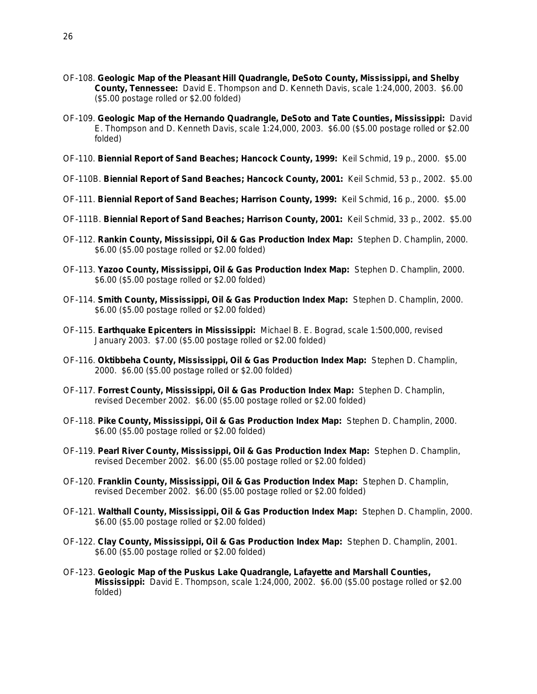- OF-108. **Geologic Map of the Pleasant Hill Quadrangle, DeSoto County, Mississippi, and Shelby County, Tennessee:** David E. Thompson and D. Kenneth Davis, scale 1:24,000, 2003. \$6.00 (\$5.00 postage rolled or \$2.00 folded)
- OF-109. **Geologic Map of the Hernando Quadrangle, DeSoto and Tate Counties, Mississippi:** David E. Thompson and D. Kenneth Davis, scale 1:24,000, 2003. \$6.00 (\$5.00 postage rolled or \$2.00 folded)
- OF-110. **Biennial Report of Sand Beaches; Hancock County, 1999:** Keil Schmid, 19 p., 2000. \$5.00
- OF-110B. **Biennial Report of Sand Beaches; Hancock County, 2001:** Keil Schmid, 53 p., 2002. \$5.00
- OF-111. **Biennial Report of Sand Beaches; Harrison County, 1999:** Keil Schmid, 16 p., 2000. \$5.00
- OF-111B. **Biennial Report of Sand Beaches; Harrison County, 2001:** Keil Schmid, 33 p., 2002. \$5.00
- OF-112. **Rankin County, Mississippi, Oil & Gas Production Index Map:** Stephen D. Champlin, 2000. \$6.00 (\$5.00 postage rolled or \$2.00 folded)
- OF-113. **Yazoo County, Mississippi, Oil & Gas Production Index Map:** Stephen D. Champlin, 2000. \$6.00 (\$5.00 postage rolled or \$2.00 folded)
- OF-114. **Smith County, Mississippi, Oil & Gas Production Index Map:** Stephen D. Champlin, 2000. \$6.00 (\$5.00 postage rolled or \$2.00 folded)
- OF-115. **Earthquake Epicenters in Mississippi:** Michael B. E. Bograd, scale 1:500,000, revised January 2003. \$7.00 (\$5.00 postage rolled or \$2.00 folded)
- OF-116. **Oktibbeha County, Mississippi, Oil & Gas Production Index Map:** Stephen D. Champlin, 2000. \$6.00 (\$5.00 postage rolled or \$2.00 folded)
- OF-117. **Forrest County, Mississippi, Oil & Gas Production Index Map:** Stephen D. Champlin, revised December 2002. \$6.00 (\$5.00 postage rolled or \$2.00 folded)
- OF-118. **Pike County, Mississippi, Oil & Gas Production Index Map:** Stephen D. Champlin, 2000. \$6.00 (\$5.00 postage rolled or \$2.00 folded)
- OF-119. **Pearl River County, Mississippi, Oil & Gas Production Index Map:** Stephen D. Champlin, revised December 2002. \$6.00 (\$5.00 postage rolled or \$2.00 folded)
- OF-120. **Franklin County, Mississippi, Oil & Gas Production Index Map:** Stephen D. Champlin, revised December 2002. \$6.00 (\$5.00 postage rolled or \$2.00 folded)
- OF-121. **Walthall County, Mississippi, Oil & Gas Production Index Map:** Stephen D. Champlin, 2000. \$6.00 (\$5.00 postage rolled or \$2.00 folded)
- OF-122. **Clay County, Mississippi, Oil & Gas Production Index Map:** Stephen D. Champlin, 2001. \$6.00 (\$5.00 postage rolled or \$2.00 folded)
- OF-123. **Geologic Map of the Puskus Lake Quadrangle, Lafayette and Marshall Counties, Mississippi:** David E. Thompson, scale 1:24,000, 2002. \$6.00 (\$5.00 postage rolled or \$2.00 folded)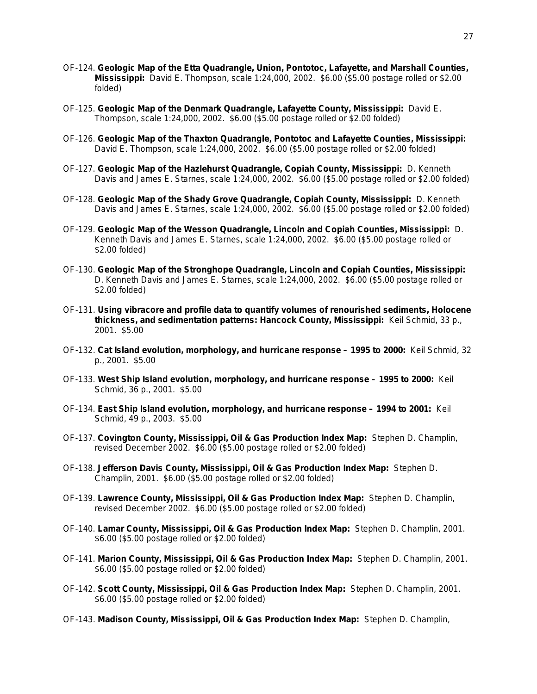- OF-124. **Geologic Map of the Etta Quadrangle, Union, Pontotoc, Lafayette, and Marshall Counties, Mississippi:** David E. Thompson, scale 1:24,000, 2002. \$6.00 (\$5.00 postage rolled or \$2.00 folded)
- OF-125. **Geologic Map of the Denmark Quadrangle, Lafayette County, Mississippi:** David E. Thompson, scale 1:24,000, 2002. \$6.00 (\$5.00 postage rolled or \$2.00 folded)
- OF-126. **Geologic Map of the Thaxton Quadrangle, Pontotoc and Lafayette Counties, Mississippi:** David E. Thompson, scale 1:24,000, 2002. \$6.00 (\$5.00 postage rolled or \$2.00 folded)
- OF-127. **Geologic Map of the Hazlehurst Quadrangle, Copiah County, Mississippi:** D. Kenneth Davis and James E. Starnes, scale 1:24,000, 2002. \$6.00 (\$5.00 postage rolled or \$2.00 folded)
- OF-128. **Geologic Map of the Shady Grove Quadrangle, Copiah County, Mississippi:** D. Kenneth Davis and James E. Starnes, scale 1:24,000, 2002. \$6.00 (\$5.00 postage rolled or \$2.00 folded)
- OF-129. **Geologic Map of the Wesson Quadrangle, Lincoln and Copiah Counties, Mississippi:** D. Kenneth Davis and James E. Starnes, scale 1:24,000, 2002. \$6.00 (\$5.00 postage rolled or \$2.00 folded)
- OF-130. **Geologic Map of the Stronghope Quadrangle, Lincoln and Copiah Counties, Mississippi:** D. Kenneth Davis and James E. Starnes, scale 1:24,000, 2002. \$6.00 (\$5.00 postage rolled or \$2.00 folded)
- OF-131. **Using vibracore and profile data to quantify volumes of renourished sediments, Holocene thickness, and sedimentation patterns: Hancock County, Mississippi:** Keil Schmid, 33 p., 2001. \$5.00
- OF-132. **Cat Island evolution, morphology, and hurricane response – 1995 to 2000:** Keil Schmid, 32 p., 2001. \$5.00
- OF-133. **West Ship Island evolution, morphology, and hurricane response – 1995 to 2000:** Keil Schmid, 36 p., 2001. \$5.00
- OF-134. **East Ship Island evolution, morphology, and hurricane response – 1994 to 2001:** Keil Schmid, 49 p., 2003. \$5.00
- OF-137. **Covington County, Mississippi, Oil & Gas Production Index Map:** Stephen D. Champlin, revised December 2002. \$6.00 (\$5.00 postage rolled or \$2.00 folded)
- OF-138. **Jefferson Davis County, Mississippi, Oil & Gas Production Index Map:** Stephen D. Champlin, 2001. \$6.00 (\$5.00 postage rolled or \$2.00 folded)
- OF-139. **Lawrence County, Mississippi, Oil & Gas Production Index Map:** Stephen D. Champlin, revised December 2002. \$6.00 (\$5.00 postage rolled or \$2.00 folded)
- OF-140. **Lamar County, Mississippi, Oil & Gas Production Index Map:** Stephen D. Champlin, 2001. \$6.00 (\$5.00 postage rolled or \$2.00 folded)
- OF-141. **Marion County, Mississippi, Oil & Gas Production Index Map:** Stephen D. Champlin, 2001. \$6.00 (\$5.00 postage rolled or \$2.00 folded)
- OF-142. **Scott County, Mississippi, Oil & Gas Production Index Map:** Stephen D. Champlin, 2001. \$6.00 (\$5.00 postage rolled or \$2.00 folded)
- OF-143. **Madison County, Mississippi, Oil & Gas Production Index Map:** Stephen D. Champlin,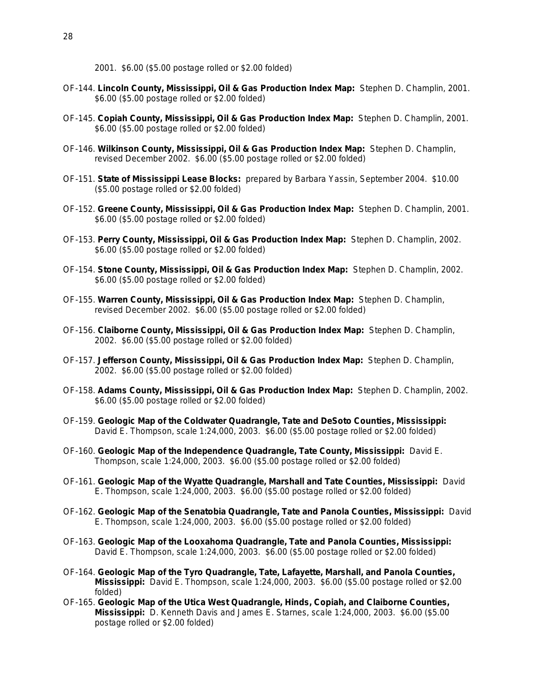2001. \$6.00 (\$5.00 postage rolled or \$2.00 folded)

- OF-144. **Lincoln County, Mississippi, Oil & Gas Production Index Map:** Stephen D. Champlin, 2001. \$6.00 (\$5.00 postage rolled or \$2.00 folded)
- OF-145. **Copiah County, Mississippi, Oil & Gas Production Index Map:** Stephen D. Champlin, 2001. \$6.00 (\$5.00 postage rolled or \$2.00 folded)
- OF-146. **Wilkinson County, Mississippi, Oil & Gas Production Index Map:** Stephen D. Champlin, revised December 2002. \$6.00 (\$5.00 postage rolled or \$2.00 folded)
- OF-151. **State of Mississippi Lease Blocks:** prepared by Barbara Yassin, September 2004. \$10.00 (\$5.00 postage rolled or \$2.00 folded)
- OF-152. **Greene County, Mississippi, Oil & Gas Production Index Map:** Stephen D. Champlin, 2001. \$6.00 (\$5.00 postage rolled or \$2.00 folded)
- OF-153. **Perry County, Mississippi, Oil & Gas Production Index Map:** Stephen D. Champlin, 2002. \$6.00 (\$5.00 postage rolled or \$2.00 folded)
- OF-154. **Stone County, Mississippi, Oil & Gas Production Index Map:** Stephen D. Champlin, 2002. \$6.00 (\$5.00 postage rolled or \$2.00 folded)
- OF-155. **Warren County, Mississippi, Oil & Gas Production Index Map:** Stephen D. Champlin, revised December 2002. \$6.00 (\$5.00 postage rolled or \$2.00 folded)
- OF-156. **Claiborne County, Mississippi, Oil & Gas Production Index Map:** Stephen D. Champlin, 2002. \$6.00 (\$5.00 postage rolled or \$2.00 folded)
- OF-157. **Jefferson County, Mississippi, Oil & Gas Production Index Map:** Stephen D. Champlin, 2002. \$6.00 (\$5.00 postage rolled or \$2.00 folded)
- OF-158. **Adams County, Mississippi, Oil & Gas Production Index Map:** Stephen D. Champlin, 2002. \$6.00 (\$5.00 postage rolled or \$2.00 folded)
- OF-159. **Geologic Map of the Coldwater Quadrangle, Tate and DeSoto Counties, Mississippi:** David E. Thompson, scale 1:24,000, 2003. \$6.00 (\$5.00 postage rolled or \$2.00 folded)
- OF-160. **Geologic Map of the Independence Quadrangle, Tate County, Mississippi:** David E. Thompson, scale 1:24,000, 2003. \$6.00 (\$5.00 postage rolled or \$2.00 folded)
- OF-161. **Geologic Map of the Wyatte Quadrangle, Marshall and Tate Counties, Mississippi:** David E. Thompson, scale 1:24,000, 2003. \$6.00 (\$5.00 postage rolled or \$2.00 folded)
- OF-162. **Geologic Map of the Senatobia Quadrangle, Tate and Panola Counties, Mississippi:** David E. Thompson, scale 1:24,000, 2003. \$6.00 (\$5.00 postage rolled or \$2.00 folded)
- OF-163. **Geologic Map of the Looxahoma Quadrangle, Tate and Panola Counties, Mississippi:** David E. Thompson, scale 1:24,000, 2003. \$6.00 (\$5.00 postage rolled or \$2.00 folded)
- OF-164. **Geologic Map of the Tyro Quadrangle, Tate, Lafayette, Marshall, and Panola Counties, Mississippi:** David E. Thompson, scale 1:24,000, 2003. \$6.00 (\$5.00 postage rolled or \$2.00 folded)
- OF-165. **Geologic Map of the Utica West Quadrangle, Hinds, Copiah, and Claiborne Counties, Mississippi:** D. Kenneth Davis and James E. Starnes, scale 1:24,000, 2003. \$6.00 (\$5.00 postage rolled or \$2.00 folded)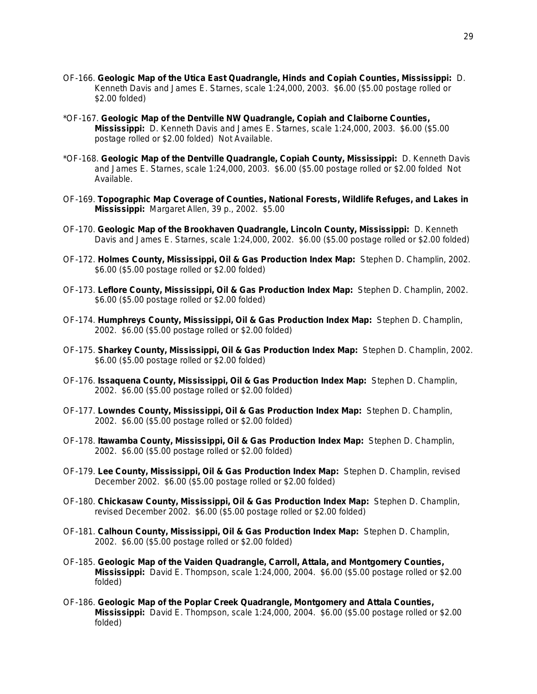- OF-166. **Geologic Map of the Utica East Quadrangle, Hinds and Copiah Counties, Mississippi:** D. Kenneth Davis and James E. Starnes, scale 1:24,000, 2003. \$6.00 (\$5.00 postage rolled or \$2.00 folded)
- \*OF-167. **Geologic Map of the Dentville NW Quadrangle, Copiah and Claiborne Counties, Mississippi:** D. Kenneth Davis and James E. Starnes, scale 1:24,000, 2003. \$6.00 (\$5.00 postage rolled or \$2.00 folded) Not Available.
- \*OF-168. **Geologic Map of the Dentville Quadrangle, Copiah County, Mississippi:** D. Kenneth Davis and James E. Starnes, scale 1:24,000, 2003. \$6.00 (\$5.00 postage rolled or \$2.00 folded Not Available.
- OF-169. **Topographic Map Coverage of Counties, National Forests, Wildlife Refuges, and Lakes in Mississippi:** Margaret Allen, 39 p., 2002. \$5.00
- OF-170. **Geologic Map of the Brookhaven Quadrangle, Lincoln County, Mississippi:** D. Kenneth Davis and James E. Starnes, scale 1:24,000, 2002. \$6.00 (\$5.00 postage rolled or \$2.00 folded)
- OF-172. **Holmes County, Mississippi, Oil & Gas Production Index Map:** Stephen D. Champlin, 2002. \$6.00 (\$5.00 postage rolled or \$2.00 folded)
- OF-173. **Leflore County, Mississippi, Oil & Gas Production Index Map:** Stephen D. Champlin, 2002. \$6.00 (\$5.00 postage rolled or \$2.00 folded)
- OF-174. **Humphreys County, Mississippi, Oil & Gas Production Index Map:** Stephen D. Champlin, 2002. \$6.00 (\$5.00 postage rolled or \$2.00 folded)
- OF-175. **Sharkey County, Mississippi, Oil & Gas Production Index Map:** Stephen D. Champlin, 2002. \$6.00 (\$5.00 postage rolled or \$2.00 folded)
- OF-176. **Issaquena County, Mississippi, Oil & Gas Production Index Map:** Stephen D. Champlin, 2002. \$6.00 (\$5.00 postage rolled or \$2.00 folded)
- OF-177. **Lowndes County, Mississippi, Oil & Gas Production Index Map:** Stephen D. Champlin, 2002. \$6.00 (\$5.00 postage rolled or \$2.00 folded)
- OF-178. **Itawamba County, Mississippi, Oil & Gas Production Index Map:** Stephen D. Champlin, 2002. \$6.00 (\$5.00 postage rolled or \$2.00 folded)
- OF-179. **Lee County, Mississippi, Oil & Gas Production Index Map:** Stephen D. Champlin, revised December 2002. \$6.00 (\$5.00 postage rolled or \$2.00 folded)
- OF-180. **Chickasaw County, Mississippi, Oil & Gas Production Index Map:** Stephen D. Champlin, revised December 2002. \$6.00 (\$5.00 postage rolled or \$2.00 folded)
- OF-181. **Calhoun County, Mississippi, Oil & Gas Production Index Map:** Stephen D. Champlin, 2002. \$6.00 (\$5.00 postage rolled or \$2.00 folded)
- OF-185. **Geologic Map of the Vaiden Quadrangle, Carroll, Attala, and Montgomery Counties, Mississippi:** David E. Thompson, scale 1:24,000, 2004. \$6.00 (\$5.00 postage rolled or \$2.00 folded)
- OF-186. **Geologic Map of the Poplar Creek Quadrangle, Montgomery and Attala Counties, Mississippi:** David E. Thompson, scale 1:24,000, 2004. \$6.00 (\$5.00 postage rolled or \$2.00 folded)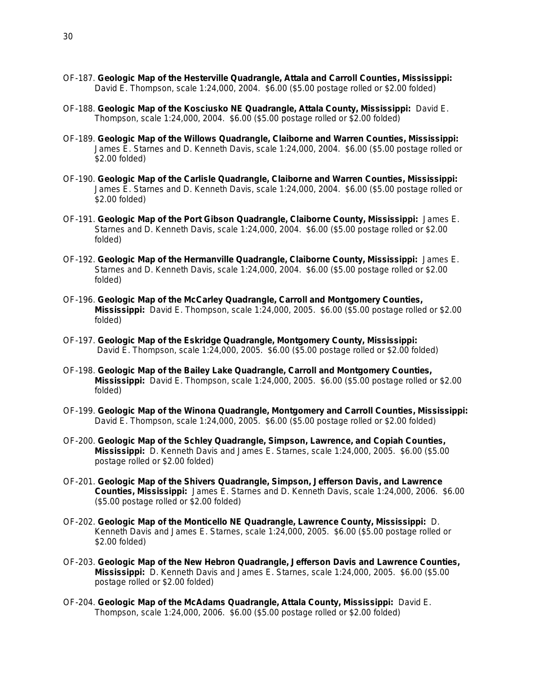- OF-187. **Geologic Map of the Hesterville Quadrangle, Attala and Carroll Counties, Mississippi:** David E. Thompson, scale 1:24,000, 2004. \$6.00 (\$5.00 postage rolled or \$2.00 folded)
- OF-188. **Geologic Map of the Kosciusko NE Quadrangle, Attala County, Mississippi:** David E. Thompson, scale 1:24,000, 2004. \$6.00 (\$5.00 postage rolled or \$2.00 folded)
- OF-189. **Geologic Map of the Willows Quadrangle, Claiborne and Warren Counties, Mississippi:** James E. Starnes and D. Kenneth Davis, scale 1:24,000, 2004. \$6.00 (\$5.00 postage rolled or \$2.00 folded)
- OF-190. **Geologic Map of the Carlisle Quadrangle, Claiborne and Warren Counties, Mississippi:** James E. Starnes and D. Kenneth Davis, scale 1:24,000, 2004. \$6.00 (\$5.00 postage rolled or \$2.00 folded)
- OF-191. **Geologic Map of the Port Gibson Quadrangle, Claiborne County, Mississippi:** James E. Starnes and D. Kenneth Davis, scale 1:24,000, 2004. \$6.00 (\$5.00 postage rolled or \$2.00 folded)
- OF-192. **Geologic Map of the Hermanville Quadrangle, Claiborne County, Mississippi:** James E. Starnes and D. Kenneth Davis, scale 1:24,000, 2004. \$6.00 (\$5.00 postage rolled or \$2.00 folded)
- OF-196. **Geologic Map of the McCarley Quadrangle, Carroll and Montgomery Counties, Mississippi:** David E. Thompson, scale 1:24,000, 2005. \$6.00 (\$5.00 postage rolled or \$2.00 folded)
- OF-197. **Geologic Map of the Eskridge Quadrangle, Montgomery County, Mississippi:** David E. Thompson, scale 1:24,000, 2005. \$6.00 (\$5.00 postage rolled or \$2.00 folded)
- OF-198. **Geologic Map of the Bailey Lake Quadrangle, Carroll and Montgomery Counties, Mississippi:** David E. Thompson, scale 1:24,000, 2005. \$6.00 (\$5.00 postage rolled or \$2.00 folded)
- OF-199. **Geologic Map of the Winona Quadrangle, Montgomery and Carroll Counties, Mississippi:** David E. Thompson, scale 1:24,000, 2005. \$6.00 (\$5.00 postage rolled or \$2.00 folded)
- OF-200. **Geologic Map of the Schley Quadrangle, Simpson, Lawrence, and Copiah Counties, Mississippi:** D. Kenneth Davis and James E. Starnes, scale 1:24,000, 2005. \$6.00 (\$5.00 postage rolled or \$2.00 folded)
- OF-201. **Geologic Map of the Shivers Quadrangle, Simpson, Jefferson Davis, and Lawrence Counties, Mississippi:** James E. Starnes and D. Kenneth Davis, scale 1:24,000, 2006. \$6.00 (\$5.00 postage rolled or \$2.00 folded)
- OF-202. **Geologic Map of the Monticello NE Quadrangle, Lawrence County, Mississippi:** D. Kenneth Davis and James E. Starnes, scale 1:24,000, 2005. \$6.00 (\$5.00 postage rolled or \$2.00 folded)
- OF-203. **Geologic Map of the New Hebron Quadrangle, Jefferson Davis and Lawrence Counties, Mississippi:** D. Kenneth Davis and James E. Starnes, scale 1:24,000, 2005. \$6.00 (\$5.00 postage rolled or \$2.00 folded)
- OF-204. **Geologic Map of the McAdams Quadrangle, Attala County, Mississippi:** David E. Thompson, scale 1:24,000, 2006. \$6.00 (\$5.00 postage rolled or \$2.00 folded)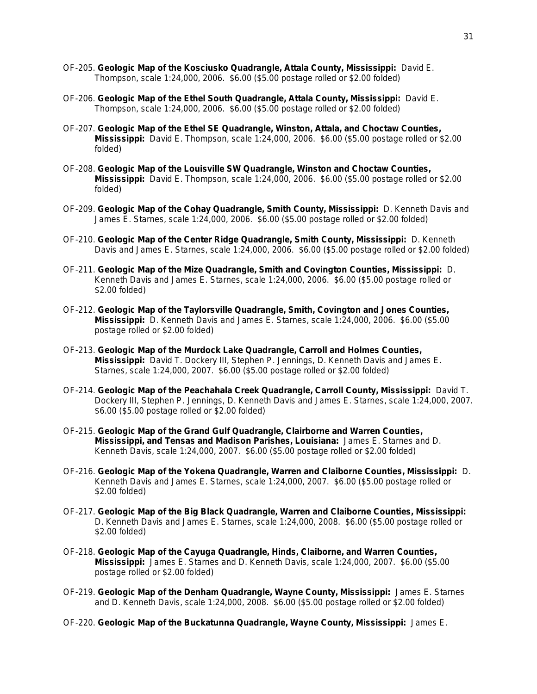- OF-205. **Geologic Map of the Kosciusko Quadrangle, Attala County, Mississippi:** David E. Thompson, scale 1:24,000, 2006. \$6.00 (\$5.00 postage rolled or \$2.00 folded)
- OF-206. **Geologic Map of the Ethel South Quadrangle, Attala County, Mississippi:** David E. Thompson, scale 1:24,000, 2006. \$6.00 (\$5.00 postage rolled or \$2.00 folded)
- OF-207. **Geologic Map of the Ethel SE Quadrangle, Winston, Attala, and Choctaw Counties, Mississippi:** David E. Thompson, scale 1:24,000, 2006. \$6.00 (\$5.00 postage rolled or \$2.00 folded)
- OF-208. **Geologic Map of the Louisville SW Quadrangle, Winston and Choctaw Counties, Mississippi:** David E. Thompson, scale 1:24,000, 2006. \$6.00 (\$5.00 postage rolled or \$2.00 folded)
- OF-209. **Geologic Map of the Cohay Quadrangle, Smith County, Mississippi:** D. Kenneth Davis and James E. Starnes, scale 1:24,000, 2006. \$6.00 (\$5.00 postage rolled or \$2.00 folded)
- OF-210. **Geologic Map of the Center Ridge Quadrangle, Smith County, Mississippi:** D. Kenneth Davis and James E. Starnes, scale 1:24,000, 2006. \$6.00 (\$5.00 postage rolled or \$2.00 folded)
- OF-211. **Geologic Map of the Mize Quadrangle, Smith and Covington Counties, Mississippi:** D. Kenneth Davis and James E. Starnes, scale 1:24,000, 2006. \$6.00 (\$5.00 postage rolled or \$2.00 folded)
- OF-212. **Geologic Map of the Taylorsville Quadrangle, Smith, Covington and Jones Counties, Mississippi:** D. Kenneth Davis and James E. Starnes, scale 1:24,000, 2006. \$6.00 (\$5.00 postage rolled or \$2.00 folded)
- OF-213. **Geologic Map of the Murdock Lake Quadrangle, Carroll and Holmes Counties, Mississippi:** David T. Dockery III, Stephen P. Jennings, D. Kenneth Davis and James E. Starnes, scale 1:24,000, 2007. \$6.00 (\$5.00 postage rolled or \$2.00 folded)
- OF-214. **Geologic Map of the Peachahala Creek Quadrangle, Carroll County, Mississippi:** David T. Dockery III, Stephen P. Jennings, D. Kenneth Davis and James E. Starnes, scale 1:24,000, 2007. \$6.00 (\$5.00 postage rolled or \$2.00 folded)
- OF-215. **Geologic Map of the Grand Gulf Quadrangle, Clairborne and Warren Counties, Mississippi, and Tensas and Madison Parishes, Louisiana:** James E. Starnes and D. Kenneth Davis, scale 1:24,000, 2007. \$6.00 (\$5.00 postage rolled or \$2.00 folded)
- OF-216. **Geologic Map of the Yokena Quadrangle, Warren and Claiborne Counties, Mississippi:** D. Kenneth Davis and James E. Starnes, scale 1:24,000, 2007. \$6.00 (\$5.00 postage rolled or \$2.00 folded)
- OF-217. **Geologic Map of the Big Black Quadrangle, Warren and Claiborne Counties, Mississippi:** D. Kenneth Davis and James E. Starnes, scale 1:24,000, 2008. \$6.00 (\$5.00 postage rolled or \$2.00 folded)
- OF-218. **Geologic Map of the Cayuga Quadrangle, Hinds, Claiborne, and Warren Counties, Mississippi:** James E. Starnes and D. Kenneth Davis, scale 1:24,000, 2007. \$6.00 (\$5.00 postage rolled or \$2.00 folded)
- OF-219. **Geologic Map of the Denham Quadrangle, Wayne County, Mississippi:** James E. Starnes and D. Kenneth Davis, scale 1:24,000, 2008. \$6.00 (\$5.00 postage rolled or \$2.00 folded)
- OF-220. **Geologic Map of the Buckatunna Quadrangle, Wayne County, Mississippi:** James E.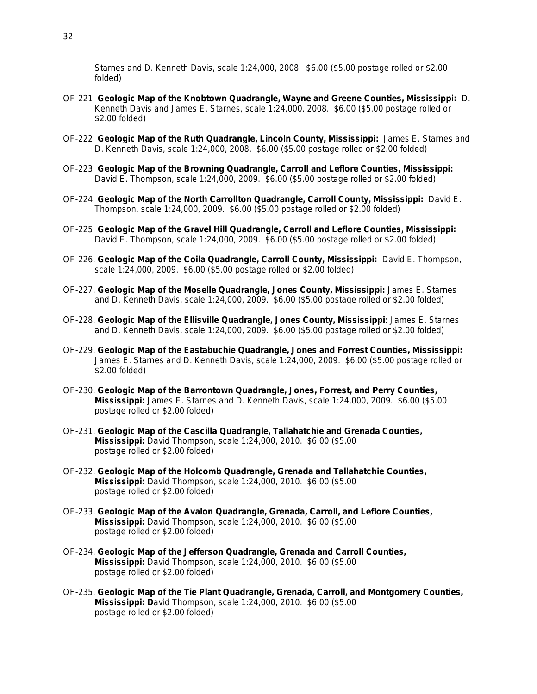Starnes and D. Kenneth Davis, scale 1:24,000, 2008. \$6.00 (\$5.00 postage rolled or \$2.00 folded)

- OF-221. **Geologic Map of the Knobtown Quadrangle, Wayne and Greene Counties, Mississippi:** D. Kenneth Davis and James E. Starnes, scale 1:24,000, 2008. \$6.00 (\$5.00 postage rolled or \$2.00 folded)
- OF-222. **Geologic Map of the Ruth Quadrangle, Lincoln County, Mississippi:** James E. Starnes and D. Kenneth Davis, scale 1:24,000, 2008. \$6.00 (\$5.00 postage rolled or \$2.00 folded)
- OF-223. **Geologic Map of the Browning Quadrangle, Carroll and Leflore Counties, Mississippi:** David E. Thompson, scale 1:24,000, 2009. \$6.00 (\$5.00 postage rolled or \$2.00 folded)
- OF-224. **Geologic Map of the North Carrollton Quadrangle, Carroll County, Mississippi:** David E. Thompson, scale 1:24,000, 2009. \$6.00 (\$5.00 postage rolled or \$2.00 folded)
- OF-225. **Geologic Map of the Gravel Hill Quadrangle, Carroll and Leflore Counties, Mississippi:** David E. Thompson, scale 1:24,000, 2009. \$6.00 (\$5.00 postage rolled or \$2.00 folded)
- OF-226. **Geologic Map of the Coila Quadrangle, Carroll County, Mississippi:** David E. Thompson, scale 1:24,000, 2009. \$6.00 (\$5.00 postage rolled or \$2.00 folded)
- OF-227. **Geologic Map of the Moselle Quadrangle, Jones County, Mississippi:** James E. Starnes and D. Kenneth Davis, scale 1:24,000, 2009. \$6.00 (\$5.00 postage rolled or \$2.00 folded)
- OF-228. **Geologic Map of the Ellisville Quadrangle, Jones County, Mississippi**: James E. Starnes and D. Kenneth Davis, scale 1:24,000, 2009. \$6.00 (\$5.00 postage rolled or \$2.00 folded)
- OF-229. **Geologic Map of the Eastabuchie Quadrangle, Jones and Forrest Counties, Mississippi:** James E. Starnes and D. Kenneth Davis, scale 1:24,000, 2009. \$6.00 (\$5.00 postage rolled or \$2.00 folded)
- OF-230. **Geologic Map of the Barrontown Quadrangle, Jones, Forrest, and Perry Counties, Mississippi:** James E. Starnes and D. Kenneth Davis, scale 1:24,000, 2009. \$6.00 (\$5.00 postage rolled or \$2.00 folded)
- OF-231. **Geologic Map of the Cascilla Quadrangle, Tallahatchie and Grenada Counties, Mississippi:** David Thompson, scale 1:24,000, 2010. \$6.00 (\$5.00 postage rolled or \$2.00 folded)
- OF-232. **Geologic Map of the Holcomb Quadrangle, Grenada and Tallahatchie Counties, Mississippi:** David Thompson, scale 1:24,000, 2010. \$6.00 (\$5.00 postage rolled or \$2.00 folded)
- OF-233. **Geologic Map of the Avalon Quadrangle, Grenada, Carroll, and Leflore Counties, Mississippi:** David Thompson, scale 1:24,000, 2010. \$6.00 (\$5.00 postage rolled or \$2.00 folded)
- OF-234. **Geologic Map of the Jefferson Quadrangle, Grenada and Carroll Counties, Mississippi:** David Thompson, scale 1:24,000, 2010. \$6.00 (\$5.00 postage rolled or \$2.00 folded)
- OF-235. **Geologic Map of the Tie Plant Quadrangle, Grenada, Carroll, and Montgomery Counties, Mississippi: D**avid Thompson, scale 1:24,000, 2010. \$6.00 (\$5.00 postage rolled or \$2.00 folded)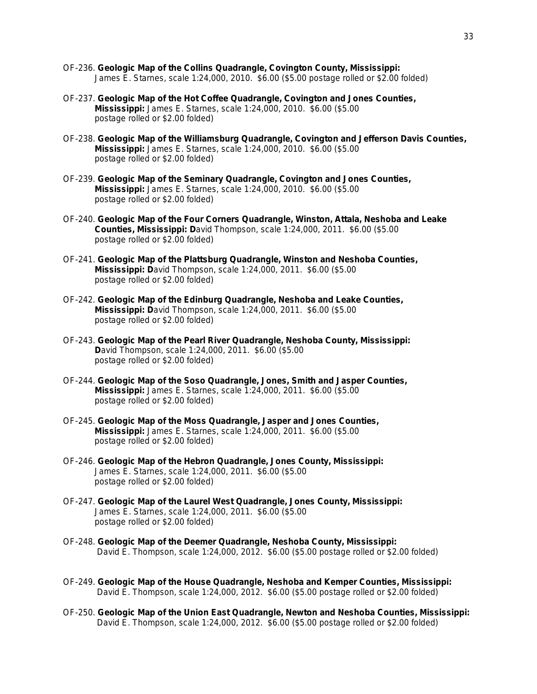- OF-236. **Geologic Map of the Collins Quadrangle, Covington County, Mississippi:** James E. Starnes, scale 1:24,000, 2010. \$6.00 (\$5.00 postage rolled or \$2.00 folded)
- OF-237. **Geologic Map of the Hot Coffee Quadrangle, Covington and Jones Counties, Mississippi:** James E. Starnes, scale 1:24,000, 2010. \$6.00 (\$5.00 postage rolled or \$2.00 folded)
- OF-238. **Geologic Map of the Williamsburg Quadrangle, Covington and Jefferson Davis Counties, Mississippi:** James E. Starnes, scale 1:24,000, 2010. \$6.00 (\$5.00 postage rolled or \$2.00 folded)
- OF-239. **Geologic Map of the Seminary Quadrangle, Covington and Jones Counties, Mississippi:** James E. Starnes, scale 1:24,000, 2010. \$6.00 (\$5.00 postage rolled or \$2.00 folded)
- OF-240. **Geologic Map of the Four Corners Quadrangle, Winston, Attala, Neshoba and Leake Counties, Mississippi: D**avid Thompson, scale 1:24,000, 2011. \$6.00 (\$5.00 postage rolled or \$2.00 folded)
- OF-241. **Geologic Map of the Plattsburg Quadrangle, Winston and Neshoba Counties, Mississippi: D**avid Thompson, scale 1:24,000, 2011. \$6.00 (\$5.00 postage rolled or \$2.00 folded)
- OF-242. **Geologic Map of the Edinburg Quadrangle, Neshoba and Leake Counties, Mississippi: D**avid Thompson, scale 1:24,000, 2011. \$6.00 (\$5.00 postage rolled or \$2.00 folded)
- OF-243. **Geologic Map of the Pearl River Quadrangle, Neshoba County, Mississippi: D**avid Thompson, scale 1:24,000, 2011. \$6.00 (\$5.00 postage rolled or \$2.00 folded)
- OF-244. **Geologic Map of the Soso Quadrangle, Jones, Smith and Jasper Counties, Mississippi:** James E. Starnes, scale 1:24,000, 2011. \$6.00 (\$5.00 postage rolled or \$2.00 folded)
- OF-245. **Geologic Map of the Moss Quadrangle, Jasper and Jones Counties, Mississippi:** James E. Starnes, scale 1:24,000, 2011. \$6.00 (\$5.00 postage rolled or \$2.00 folded)
- OF-246. **Geologic Map of the Hebron Quadrangle, Jones County, Mississippi:** James E. Starnes, scale 1:24,000, 2011. \$6.00 (\$5.00 postage rolled or \$2.00 folded)
- OF-247. **Geologic Map of the Laurel West Quadrangle, Jones County, Mississippi:** James E. Starnes, scale 1:24,000, 2011. \$6.00 (\$5.00 postage rolled or \$2.00 folded)
- OF-248. **Geologic Map of the Deemer Quadrangle, Neshoba County, Mississippi:** David E. Thompson, scale 1:24,000, 2012. \$6.00 (\$5.00 postage rolled or \$2.00 folded)
- OF-249. **Geologic Map of the House Quadrangle, Neshoba and Kemper Counties, Mississippi:** David E. Thompson, scale 1:24,000, 2012. \$6.00 (\$5.00 postage rolled or \$2.00 folded)
- OF-250. **Geologic Map of the Union East Quadrangle, Newton and Neshoba Counties, Mississippi:** David E. Thompson, scale 1:24,000, 2012. \$6.00 (\$5.00 postage rolled or \$2.00 folded)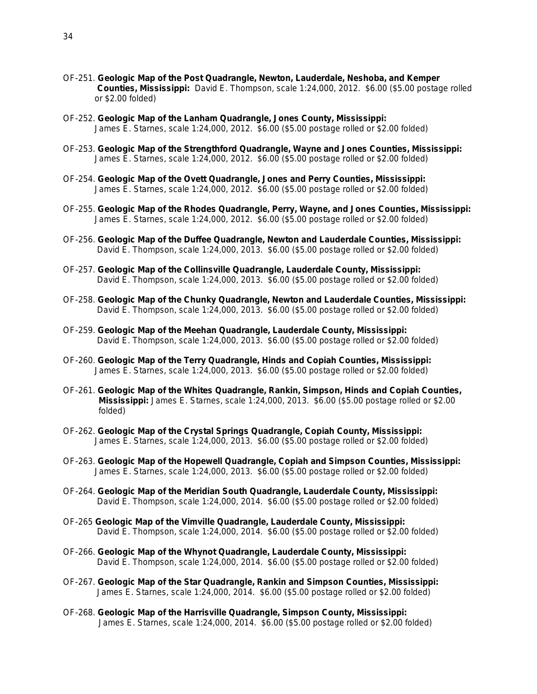- OF-251. **Geologic Map of the Post Quadrangle, Newton, Lauderdale, Neshoba, and Kemper Counties, Mississippi:** David E. Thompson, scale 1:24,000, 2012. \$6.00 (\$5.00 postage rolled or \$2.00 folded)
- OF-252. **Geologic Map of the Lanham Quadrangle, Jones County, Mississippi:** James E. Starnes, scale 1:24,000, 2012. \$6.00 (\$5.00 postage rolled or \$2.00 folded)
- OF-253. **Geologic Map of the Strengthford Quadrangle, Wayne and Jones Counties, Mississippi:** James E. Starnes, scale 1:24,000, 2012. \$6.00 (\$5.00 postage rolled or \$2.00 folded)
- OF-254. **Geologic Map of the Ovett Quadrangle, Jones and Perry Counties, Mississippi:** James E. Starnes, scale 1:24,000, 2012. \$6.00 (\$5.00 postage rolled or \$2.00 folded)
- OF-255. **Geologic Map of the Rhodes Quadrangle, Perry, Wayne, and Jones Counties, Mississippi:** James E. Starnes, scale 1:24,000, 2012. \$6.00 (\$5.00 postage rolled or \$2.00 folded)
- OF-256. **Geologic Map of the Duffee Quadrangle, Newton and Lauderdale Counties, Mississippi:** David E. Thompson, scale 1:24,000, 2013. \$6.00 (\$5.00 postage rolled or \$2.00 folded)
- OF-257. **Geologic Map of the Collinsville Quadrangle, Lauderdale County, Mississippi:** David E. Thompson, scale 1:24,000, 2013. \$6.00 (\$5.00 postage rolled or \$2.00 folded)
- OF-258. **Geologic Map of the Chunky Quadrangle, Newton and Lauderdale Counties, Mississippi:** David E. Thompson, scale 1:24,000, 2013. \$6.00 (\$5.00 postage rolled or \$2.00 folded)
- OF-259. **Geologic Map of the Meehan Quadrangle, Lauderdale County, Mississippi:** David E. Thompson, scale 1:24,000, 2013. \$6.00 (\$5.00 postage rolled or \$2.00 folded)
- OF-260. **Geologic Map of the Terry Quadrangle, Hinds and Copiah Counties, Mississippi:** James E. Starnes, scale 1:24,000, 2013. \$6.00 (\$5.00 postage rolled or \$2.00 folded)
- OF-261. **Geologic Map of the Whites Quadrangle, Rankin, Simpson, Hinds and Copiah Counties, Mississippi:** James E. Starnes, scale 1:24,000, 2013. \$6.00 (\$5.00 postage rolled or \$2.00 folded)
- OF-262. **Geologic Map of the Crystal Springs Quadrangle, Copiah County, Mississippi:** James E. Starnes, scale 1:24,000, 2013. \$6.00 (\$5.00 postage rolled or \$2.00 folded)
- OF-263. **Geologic Map of the Hopewell Quadrangle, Copiah and Simpson Counties, Mississippi:** James E. Starnes, scale 1:24,000, 2013. \$6.00 (\$5.00 postage rolled or \$2.00 folded)
- OF-264. **Geologic Map of the Meridian South Quadrangle, Lauderdale County, Mississippi:** David E. Thompson, scale 1:24,000, 2014. \$6.00 (\$5.00 postage rolled or \$2.00 folded)
- OF-265 **Geologic Map of the Vimville Quadrangle, Lauderdale County, Mississippi:** David E. Thompson, scale 1:24,000, 2014. \$6.00 (\$5.00 postage rolled or \$2.00 folded)
- OF-266. **Geologic Map of the Whynot Quadrangle, Lauderdale County, Mississippi:** David E. Thompson, scale 1:24,000, 2014. \$6.00 (\$5.00 postage rolled or \$2.00 folded)
- OF-267. **Geologic Map of the Star Quadrangle, Rankin and Simpson Counties, Mississippi:** James E. Starnes, scale 1:24,000, 2014. \$6.00 (\$5.00 postage rolled or \$2.00 folded)
- OF-268. **Geologic Map of the Harrisville Quadrangle, Simpson County, Mississippi:** James E. Starnes, scale 1:24,000, 2014. \$6.00 (\$5.00 postage rolled or \$2.00 folded)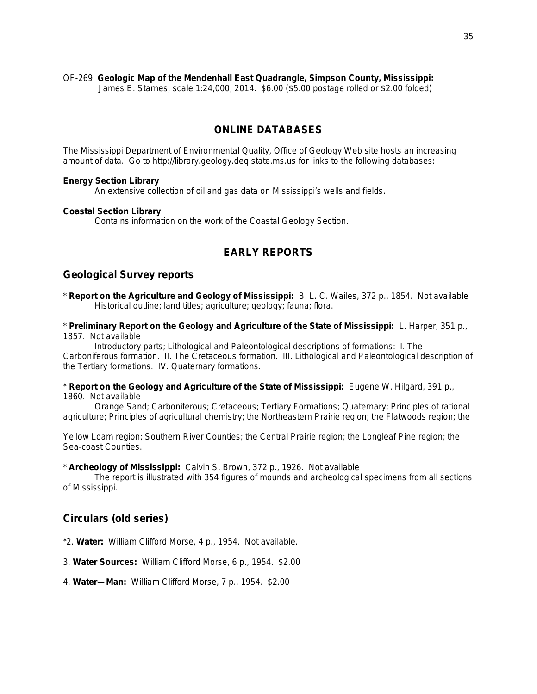#### OF-269. **Geologic Map of the Mendenhall East Quadrangle, Simpson County, Mississippi:**

James E. Starnes, scale 1:24,000, 2014. \$6.00 (\$5.00 postage rolled or \$2.00 folded)

## **ONLINE DATABASES**

The Mississippi Department of Environmental Quality, Office of Geology Web site hosts an increasing amount of data. Go to http://library.geology.deq.state.ms.us for links to the following databases:

#### **Energy Section Library**

An extensive collection of oil and gas data on Mississippi's wells and fields.

#### **Coastal Section Library**

Contains information on the work of the Coastal Geology Section.

## **EARLY REPORTS**

### **Geological Survey reports**

\* **Report on the Agriculture and Geology of Mississippi:** B. L. C. Wailes, 372 p., 1854. Not available Historical outline; land titles; agriculture; geology; fauna; flora.

\* **Preliminary Report on the Geology and Agriculture of the State of Mississippi:** L. Harper, 351 p., 1857. Not available

Introductory parts; Lithological and Paleontological descriptions of formations: I. The Carboniferous formation. II. The Cretaceous formation. III. Lithological and Paleontological description of the Tertiary formations. IV. Quaternary formations.

\* **Report on the Geology and Agriculture of the State of Mississippi:** Eugene W. Hilgard, 391 p., 1860. Not available

Orange Sand; Carboniferous; Cretaceous; Tertiary Formations; Quaternary; Principles of rational agriculture; Principles of agricultural chemistry; the Northeastern Prairie region; the Flatwoods region; the

Yellow Loam region; Southern River Counties; the Central Prairie region; the Longleaf Pine region; the Sea-coast Counties.

\* **Archeology of Mississippi:** Calvin S. Brown, 372 p., 1926. Not available

The report is illustrated with 354 figures of mounds and archeological specimens from all sections of Mississippi.

## **Circulars (old series)**

\*2. **Water:** William Clifford Morse, 4 p., 1954. Not available.

3. **Water Sources:** William Clifford Morse, 6 p., 1954. \$2.00

4. **Water—Man:** William Clifford Morse, 7 p., 1954. \$2.00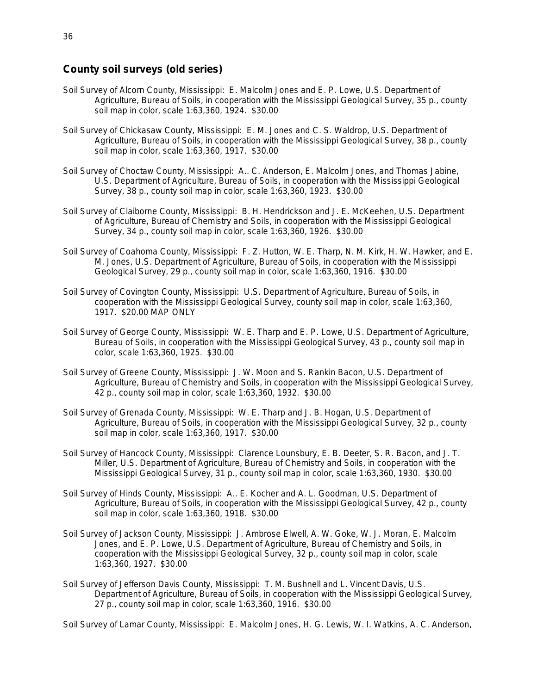## **County soil surveys (old series)**

- Soil Survey of Alcorn County, Mississippi: E. Malcolm Jones and E. P. Lowe, U.S. Department of Agriculture, Bureau of Soils, in cooperation with the Mississippi Geological Survey, 35 p., county soil map in color, scale 1:63,360, 1924. \$30.00
- Soil Survey of Chickasaw County, Mississippi: E. M. Jones and C. S. Waldrop, U.S. Department of Agriculture, Bureau of Soils, in cooperation with the Mississippi Geological Survey, 38 p., county soil map in color, scale 1:63,360, 1917. \$30.00
- Soil Survey of Choctaw County, Mississippi: A.. C. Anderson, E. Malcolm Jones, and Thomas Jabine, U.S. Department of Agriculture, Bureau of Soils, in cooperation with the Mississippi Geological Survey, 38 p., county soil map in color, scale 1:63,360, 1923. \$30.00
- Soil Survey of Claiborne County, Mississippi: B. H. Hendrickson and J. E. McKeehen, U.S. Department of Agriculture, Bureau of Chemistry and Soils, in cooperation with the Mississippi Geological Survey, 34 p., county soil map in color, scale 1:63,360, 1926. \$30.00
- Soil Survey of Coahoma County, Mississippi: F. Z. Hutton, W. E. Tharp, N. M. Kirk, H. W. Hawker, and E. M. Jones, U.S. Department of Agriculture, Bureau of Soils, in cooperation with the Mississippi Geological Survey, 29 p., county soil map in color, scale 1:63,360, 1916. \$30.00
- Soil Survey of Covington County, Mississippi: U.S. Department of Agriculture, Bureau of Soils, in cooperation with the Mississippi Geological Survey, county soil map in color, scale 1:63,360, 1917. \$20.00 MAP ONLY
- Soil Survey of George County, Mississippi: W. E. Tharp and E. P. Lowe, U.S. Department of Agriculture, Bureau of Soils, in cooperation with the Mississippi Geological Survey, 43 p., county soil map in color, scale 1:63,360, 1925. \$30.00
- Soil Survey of Greene County, Mississippi: J. W. Moon and S. Rankin Bacon, U.S. Department of Agriculture, Bureau of Chemistry and Soils, in cooperation with the Mississippi Geological Survey, 42 p., county soil map in color, scale 1:63,360, 1932. \$30.00
- Soil Survey of Grenada County, Mississippi: W. E. Tharp and J. B. Hogan, U.S. Department of Agriculture, Bureau of Soils, in cooperation with the Mississippi Geological Survey, 32 p., county soil map in color, scale 1:63,360, 1917. \$30.00
- Soil Survey of Hancock County, Mississippi: Clarence Lounsbury, E. B. Deeter, S. R. Bacon, and J. T. Miller, U.S. Department of Agriculture, Bureau of Chemistry and Soils, in cooperation with the Mississippi Geological Survey, 31 p., county soil map in color, scale 1:63,360, 1930. \$30.00
- Soil Survey of Hinds County, Mississippi: A.. E. Kocher and A. L. Goodman, U.S. Department of Agriculture, Bureau of Soils, in cooperation with the Mississippi Geological Survey, 42 p., county soil map in color, scale 1:63,360, 1918. \$30.00
- Soil Survey of Jackson County, Mississippi: J. Ambrose Elwell, A. W. Goke, W. J. Moran, E. Malcolm Jones, and E. P. Lowe, U.S. Department of Agriculture, Bureau of Chemistry and Soils, in cooperation with the Mississippi Geological Survey, 32 p., county soil map in color, scale 1:63,360, 1927. \$30.00
- Soil Survey of Jefferson Davis County, Mississippi: T. M. Bushnell and L. Vincent Davis, U.S. Department of Agriculture, Bureau of Soils, in cooperation with the Mississippi Geological Survey, 27 p., county soil map in color, scale 1:63,360, 1916. \$30.00

Soil Survey of Lamar County, Mississippi: E. Malcolm Jones, H. G. Lewis, W. I. Watkins, A. C. Anderson,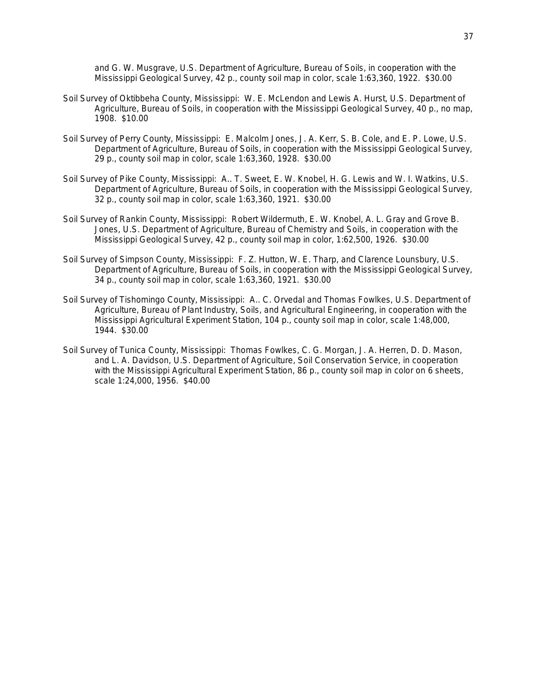and G. W. Musgrave, U.S. Department of Agriculture, Bureau of Soils, in cooperation with the Mississippi Geological Survey, 42 p., county soil map in color, scale 1:63,360, 1922. \$30.00

- Soil Survey of Oktibbeha County, Mississippi: W. E. McLendon and Lewis A. Hurst, U.S. Department of Agriculture, Bureau of Soils, in cooperation with the Mississippi Geological Survey, 40 p., no map, 1908. \$10.00
- Soil Survey of Perry County, Mississippi: E. Malcolm Jones, J. A. Kerr, S. B. Cole, and E. P. Lowe, U.S. Department of Agriculture, Bureau of Soils, in cooperation with the Mississippi Geological Survey, 29 p., county soil map in color, scale 1:63,360, 1928. \$30.00
- Soil Survey of Pike County, Mississippi: A.. T. Sweet, E. W. Knobel, H. G. Lewis and W. I. Watkins, U.S. Department of Agriculture, Bureau of Soils, in cooperation with the Mississippi Geological Survey, 32 p., county soil map in color, scale 1:63,360, 1921. \$30.00
- Soil Survey of Rankin County, Mississippi: Robert Wildermuth, E. W. Knobel, A. L. Gray and Grove B. Jones, U.S. Department of Agriculture, Bureau of Chemistry and Soils, in cooperation with the Mississippi Geological Survey, 42 p., county soil map in color, 1:62,500, 1926. \$30.00
- Soil Survey of Simpson County, Mississippi: F. Z. Hutton, W. E. Tharp, and Clarence Lounsbury, U.S. Department of Agriculture, Bureau of Soils, in cooperation with the Mississippi Geological Survey, 34 p., county soil map in color, scale 1:63,360, 1921. \$30.00
- Soil Survey of Tishomingo County, Mississippi: A.. C. Orvedal and Thomas Fowlkes, U.S. Department of Agriculture, Bureau of Plant Industry, Soils, and Agricultural Engineering, in cooperation with the Mississippi Agricultural Experiment Station, 104 p., county soil map in color, scale 1:48,000, 1944. \$30.00
- Soil Survey of Tunica County, Mississippi: Thomas Fowlkes, C. G. Morgan, J. A. Herren, D. D. Mason, and L. A. Davidson, U.S. Department of Agriculture, Soil Conservation Service, in cooperation with the Mississippi Agricultural Experiment Station, 86 p., county soil map in color on 6 sheets, scale 1:24,000, 1956. \$40.00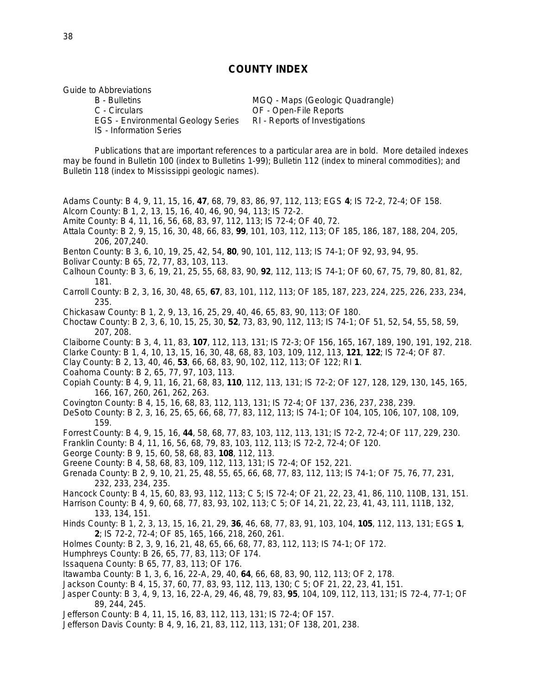### **COUNTY INDEX**

Guide to Abbreviations

B - Bulletins MGQ - Maps (Geologic Quadrangle)<br>C - Circulars C - Circulars C - Circulars EGS - Environmental Geology Series RI - Reports of Investigations IS - Information Series

OF - Open-File Reports

Publications that are important references to a particular area are in bold. More detailed indexes may be found in Bulletin 100 (index to Bulletins 1-99); Bulletin 112 (index to mineral commodities); and Bulletin 118 (index to Mississippi geologic names).

Adams County: B 4, 9, 11, 15, 16, **47**, 68, 79, 83, 86, 97, 112, 113; EGS **4**; IS 72-2, 72-4; OF 158.

- Alcorn County: B 1, 2, 13, 15, 16, 40, 46, 90, 94, 113; IS 72-2.
- Amite County: B 4, 11, 16, 56, 68, 83, 97, 112, 113; IS 72-4; OF 40, 72.
- Attala County: B 2, 9, 15, 16, 30, 48, 66, 83, **99**, 101, 103, 112, 113; OF 185, 186, 187, 188, 204, 205, 206, 207,240.
- Benton County: B 3, 6, 10, 19, 25, 42, 54, **80**, 90, 101, 112, 113; IS 74-1; OF 92, 93, 94, 95.
- Bolivar County: B 65, 72, 77, 83, 103, 113.
- Calhoun County: B 3, 6, 19, 21, 25, 55, 68, 83, 90, **92**, 112, 113; IS 74-1; OF 60, 67, 75, 79, 80, 81, 82, 181.
- Carroll County: B 2, 3, 16, 30, 48, 65, **67**, 83, 101, 112, 113; OF 185, 187, 223, 224, 225, 226, 233, 234, 235.
- Chickasaw County: B 1, 2, 9, 13, 16, 25, 29, 40, 46, 65, 83, 90, 113; OF 180.
- Choctaw County: B 2, 3, 6, 10, 15, 25, 30, **52**, 73, 83, 90, 112, 113; IS 74-1; OF 51, 52, 54, 55, 58, 59, 207, 208.
- Claiborne County: B 3, 4, 11, 83, **107**, 112, 113, 131; IS 72-3; OF 156, 165, 167, 189, 190, 191, 192, 218.
- Clarke County: B 1, 4, 10, 13, 15, 16, 30, 48, 68, 83, 103, 109, 112, 113, **121**, **122**; IS 72-4; OF 87.
- Clay County: B 2, 13, 40, 46, **53**, 66, 68, 83, 90, 102, 112, 113; OF 122; RI **1**.
- Coahoma County: B 2, 65, 77, 97, 103, 113.
- Copiah County: B 4, 9, 11, 16, 21, 68, 83, **110**, 112, 113, 131; IS 72-2; OF 127, 128, 129, 130, 145, 165, 166, 167, 260, 261, 262, 263.
- Covington County: B 4, 15, 16, 68, 83, 112, 113, 131; IS 72-4; OF 137, 236, 237, 238, 239.
- DeSoto County: B 2, 3, 16, 25, 65, 66, 68, 77, 83, 112, 113; IS 74-1; OF 104, 105, 106, 107, 108, 109, 159.
- Forrest County: B 4, 9, 15, 16, **44**, 58, 68, 77, 83, 103, 112, 113, 131; IS 72-2, 72-4; OF 117, 229, 230.
- Franklin County: B 4, 11, 16, 56, 68, 79, 83, 103, 112, 113; IS 72-2, 72-4; OF 120.
- George County: B 9, 15, 60, 58, 68, 83, **108**, 112, 113.
- Greene County: B 4, 58, 68, 83, 109, 112, 113, 131; IS 72-4; OF 152, 221.
- Grenada County: B 2, 9, 10, 21, 25, 48, 55, 65, 66, 68, 77, 83, 112, 113; IS 74-1; OF 75, 76, 77, 231, 232, 233, 234, 235.
- Hancock County: B 4, 15, 60, 83, 93, 112, 113; C 5; IS 72-4; OF 21, 22, 23, 41, 86, 110, 110B, 131, 151.
- Harrison County: B 4, 9, 60, 68, 77, 83, 93, 102, 113; C 5; OF 14, 21, 22, 23, 41, 43, 111, 111B, 132, 133, 134, 151.
- Hinds County: B 1, 2, 3, 13, 15, 16, 21, 29, **36**, 46, 68, 77, 83, 91, 103, 104, **105**, 112, 113, 131; EGS **1**, **2**; IS 72-2, 72-4; OF 85, 165, 166, 218, 260, 261.
- Holmes County: B 2, 3, 9, 16, 21, 48, 65, 66, 68, 77, 83, 112, 113; IS 74-1; OF 172.
- Humphreys County: B 26, 65, 77, 83, 113; OF 174.
- Issaquena County: B 65, 77, 83, 113; OF 176.
- Itawamba County: B 1, 3, 6, 16, 22-A, 29, 40, **64**, 66, 68, 83, 90, 112, 113; OF 2, 178.
- Jackson County: B 4, 15, 37, 60, 77, 83, 93, 112, 113, 130; C 5; OF 21, 22, 23, 41, 151.
- Jasper County: B 3, 4, 9, 13, 16, 22-A, 29, 46, 48, 79, 83, **95**, 104, 109, 112, 113, 131; IS 72-4, 77-1; OF 89, 244, 245.
- Jefferson County: B 4, 11, 15, 16, 83, 112, 113, 131; IS 72-4; OF 157.
- Jefferson Davis County: B 4, 9, 16, 21, 83, 112, 113, 131; OF 138, 201, 238.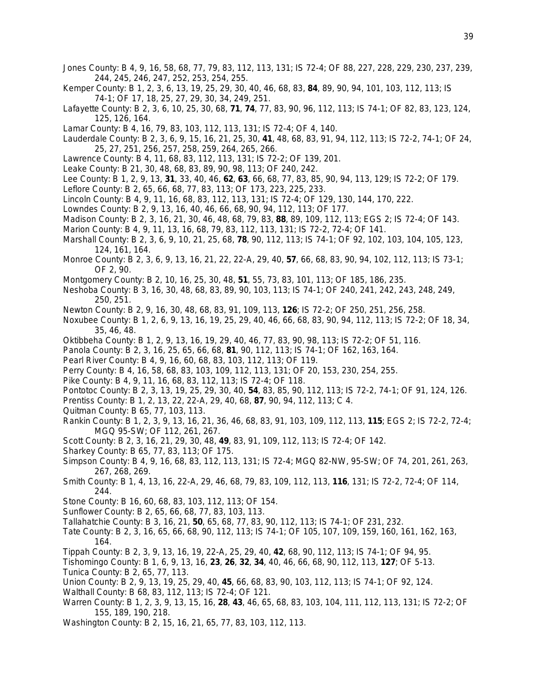- Jones County: B 4, 9, 16, 58, 68, 77, 79, 83, 112, 113, 131; IS 72-4; OF 88, 227, 228, 229, 230, 237, 239, 244, 245, 246, 247, 252, 253, 254, 255.
- Kemper County: B 1, 2, 3, 6, 13, 19, 25, 29, 30, 40, 46, 68, 83, **84**, 89, 90, 94, 101, 103, 112, 113; IS 74-1; OF 17, 18, 25, 27, 29, 30, 34, 249, 251.
- Lafayette County: B 2, 3, 6, 10, 25, 30, 68, **71**, **74**, 77, 83, 90, 96, 112, 113; IS 74-1; OF 82, 83, 123, 124, 125, 126, 164.
- Lamar County: B 4, 16, 79, 83, 103, 112, 113, 131; IS 72-4; OF 4, 140.
- Lauderdale County: B 2, 3, 6, 9, 15, 16, 21, 25, 30, **41**, 48, 68, 83, 91, 94, 112, 113; IS 72-2, 74-1; OF 24, 25, 27, 251, 256, 257, 258, 259, 264, 265, 266.
- Lawrence County: B 4, 11, 68, 83, 112, 113, 131; IS 72-2; OF 139, 201.
- Leake County: B 21, 30, 48, 68, 83, 89, 90, 98, 113; OF 240, 242.
- Lee County: B 1, 2, 9, 13, **31**, 33, 40, 46, **62**, **63**, 66, 68, 77, 83, 85, 90, 94, 113, 129; IS 72-2; OF 179.
- Leflore County: B 2, 65, 66, 68, 77, 83, 113; OF 173, 223, 225, 233.
- Lincoln County: B 4, 9, 11, 16, 68, 83, 112, 113, 131; IS 72-4; OF 129, 130, 144, 170, 222.
- Lowndes County: B 2, 9, 13, 16, 40, 46, 66, 68, 90, 94, 112, 113; OF 177.
- Madison County: B 2, 3, 16, 21, 30, 46, 48, 68, 79, 83, **88**, 89, 109, 112, 113; EGS 2; IS 72-4; OF 143.
- Marion County: B 4, 9, 11, 13, 16, 68, 79, 83, 112, 113, 131; IS 72-2, 72-4; OF 141.
- Marshall County: B 2, 3, 6, 9, 10, 21, 25, 68, **78**, 90, 112, 113; IS 74-1; OF 92, 102, 103, 104, 105, 123, 124, 161, 164.
- Monroe County: B 2, 3, 6, 9, 13, 16, 21, 22, 22-A, 29, 40, **57**, 66, 68, 83, 90, 94, 102, 112, 113; IS 73-1; OF 2, 90.
- Montgomery County: B 2, 10, 16, 25, 30, 48, **51**, 55, 73, 83, 101, 113; OF 185, 186, 235.
- Neshoba County: B 3, 16, 30, 48, 68, 83, 89, 90, 103, 113; IS 74-1; OF 240, 241, 242, 243, 248, 249, 250, 251.
- Newton County: B 2, 9, 16, 30, 48, 68, 83, 91, 109, 113, **126**; IS 72-2; OF 250, 251, 256, 258.
- Noxubee County: B 1, 2, 6, 9, 13, 16, 19, 25, 29, 40, 46, 66, 68, 83, 90, 94, 112, 113; IS 72-2; OF 18, 34, 35, 46, 48.
- Oktibbeha County: B 1, 2, 9, 13, 16, 19, 29, 40, 46, 77, 83, 90, 98, 113; IS 72-2; OF 51, 116.
- Panola County: B 2, 3, 16, 25, 65, 66, 68, **81**, 90, 112, 113; IS 74-1; OF 162, 163, 164.
- Pearl River County: B 4, 9, 16, 60, 68, 83, 103, 112, 113; OF 119.
- Perry County: B 4, 16, 58, 68, 83, 103, 109, 112, 113, 131; OF 20, 153, 230, 254, 255.
- Pike County: B 4, 9, 11, 16, 68, 83, 112, 113; IS 72-4; OF 118.
- Pontotoc County: B 2, 3, 13, 19, 25, 29, 30, 40, **54**, 83, 85, 90, 112, 113; IS 72-2, 74-1; OF 91, 124, 126.
- Prentiss County: B 1, 2, 13, 22, 22-A, 29, 40, 68, **87**, 90, 94, 112, 113; C 4.
- Quitman County: B 65, 77, 103, 113.
- Rankin County: B 1, 2, 3, 9, 13, 16, 21, 36, 46, 68, 83, 91, 103, 109, 112, 113, **115**; EGS 2; IS 72-2, 72-4; MGQ 95-SW; OF 112, 261, 267.
- Scott County: B 2, 3, 16, 21, 29, 30, 48, **49**, 83, 91, 109, 112, 113; IS 72-4; OF 142.
- Sharkey County: B 65, 77, 83, 113; OF 175.
- Simpson County: B 4, 9, 16, 68, 83, 112, 113, 131; IS 72-4; MGQ 82-NW, 95-SW; OF 74, 201, 261, 263, 267, 268, 269.
- Smith County: B 1, 4, 13, 16, 22-A, 29, 46, 68, 79, 83, 109, 112, 113, **116**, 131; IS 72-2, 72-4; OF 114, 244.
- Stone County: B 16, 60, 68, 83, 103, 112, 113; OF 154.
- Sunflower County: B 2, 65, 66, 68, 77, 83, 103, 113.
- Tallahatchie County: B 3, 16, 21, **50**, 65, 68, 77, 83, 90, 112, 113; IS 74-1; OF 231, 232.
- Tate County: B 2, 3, 16, 65, 66, 68, 90, 112, 113; IS 74-1; OF 105, 107, 109, 159, 160, 161, 162, 163, 164.
- Tippah County: B 2, 3, 9, 13, 16, 19, 22-A, 25, 29, 40, **42**, 68, 90, 112, 113; IS 74-1; OF 94, 95.

Tishomingo County: B 1, 6, 9, 13, 16, **23**, **26**, **32**, **34**, 40, 46, 66, 68, 90, 112, 113, **127**; OF 5-13. Tunica County: B 2, 65, 77, 113.

- Union County: B 2, 9, 13, 19, 25, 29, 40, **45**, 66, 68, 83, 90, 103, 112, 113; IS 74-1; OF 92, 124.
- Walthall County: B 68, 83, 112, 113; IS 72-4; OF 121.
- Warren County: B 1, 2, 3, 9, 13, 15, 16, **28**, **43**, 46, 65, 68, 83, 103, 104, 111, 112, 113, 131; IS 72-2; OF 155, 189, 190, 218.
- Washington County: B 2, 15, 16, 21, 65, 77, 83, 103, 112, 113.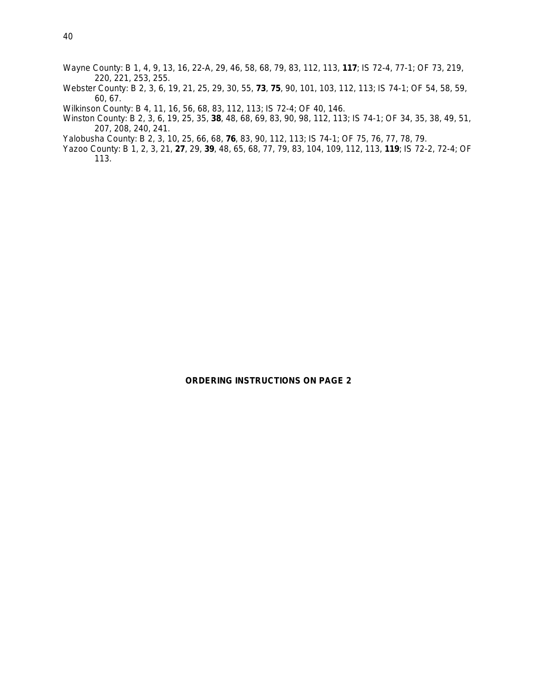- Wayne County: B 1, 4, 9, 13, 16, 22-A, 29, 46, 58, 68, 79, 83, 112, 113, **117**; IS 72-4, 77-1; OF 73, 219, 220, 221, 253, 255.
- Webster County: B 2, 3, 6, 19, 21, 25, 29, 30, 55, **73**, **75**, 90, 101, 103, 112, 113; IS 74-1; OF 54, 58, 59, 60, 67.
- Wilkinson County: B 4, 11, 16, 56, 68, 83, 112, 113; IS 72-4; OF 40, 146.
- Winston County: B 2, 3, 6, 19, 25, 35, **38**, 48, 68, 69, 83, 90, 98, 112, 113; IS 74-1; OF 34, 35, 38, 49, 51, 207, 208, 240, 241.
- Yalobusha County: B 2, 3, 10, 25, 66, 68, **76**, 83, 90, 112, 113; IS 74-1; OF 75, 76, 77, 78, 79.
- Yazoo County: B 1, 2, 3, 21, **27**, 29, **39**, 48, 65, 68, 77, 79, 83, 104, 109, 112, 113, **119**; IS 72-2, 72-4; OF 113.

## **ORDERING INSTRUCTIONS ON PAGE 2**